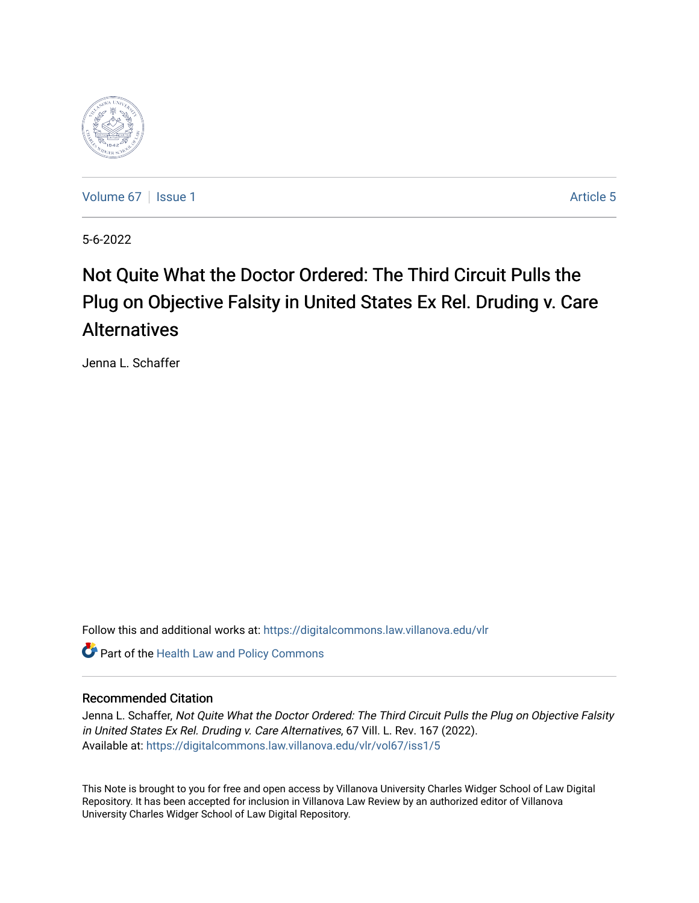

[Volume 67](https://digitalcommons.law.villanova.edu/vlr/vol67) | [Issue 1](https://digitalcommons.law.villanova.edu/vlr/vol67/iss1) Article 5

5-6-2022

# Not Quite What the Doctor Ordered: The Third Circuit Pulls the Plug on Objective Falsity in United States Ex Rel. Druding v. Care Alternatives

Jenna L. Schaffer

Follow this and additional works at: [https://digitalcommons.law.villanova.edu/vlr](https://digitalcommons.law.villanova.edu/vlr?utm_source=digitalcommons.law.villanova.edu%2Fvlr%2Fvol67%2Fiss1%2F5&utm_medium=PDF&utm_campaign=PDFCoverPages)

**Part of the Health Law and Policy Commons** 

# Recommended Citation

Jenna L. Schaffer, Not Quite What the Doctor Ordered: The Third Circuit Pulls the Plug on Objective Falsity in United States Ex Rel. Druding v. Care Alternatives, 67 Vill. L. Rev. 167 (2022). Available at: [https://digitalcommons.law.villanova.edu/vlr/vol67/iss1/5](https://digitalcommons.law.villanova.edu/vlr/vol67/iss1/5?utm_source=digitalcommons.law.villanova.edu%2Fvlr%2Fvol67%2Fiss1%2F5&utm_medium=PDF&utm_campaign=PDFCoverPages) 

This Note is brought to you for free and open access by Villanova University Charles Widger School of Law Digital Repository. It has been accepted for inclusion in Villanova Law Review by an authorized editor of Villanova University Charles Widger School of Law Digital Repository.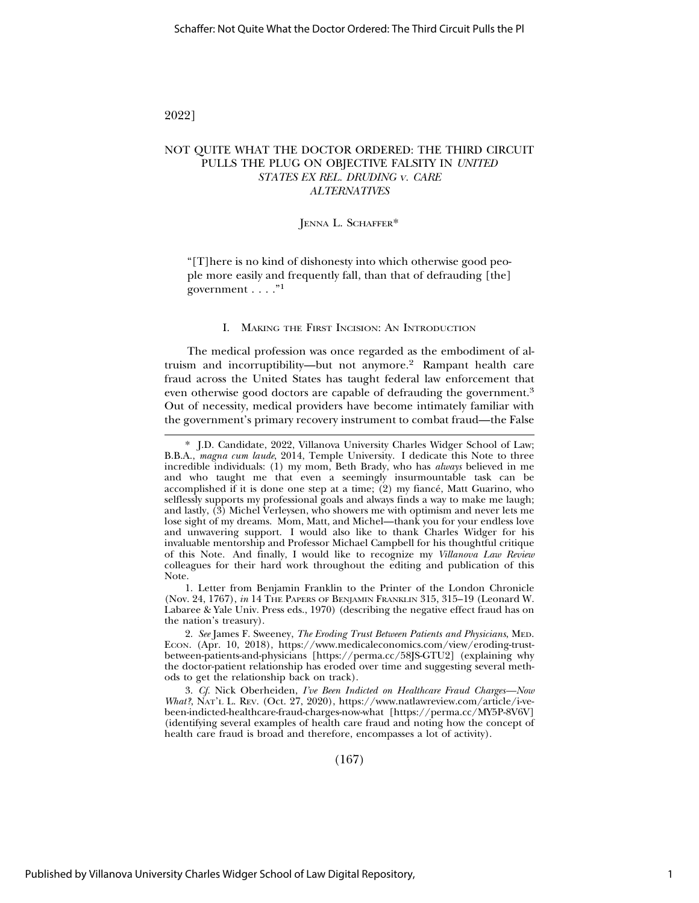# 2022]

# NOT QUITE WHAT THE DOCTOR ORDERED: THE THIRD CIRCUIT PULLS THE PLUG ON OBJECTIVE FALSITY IN *UNITED STATES EX REL. DRUDING* V*. CARE ALTERNATIVES*

#### JENNA L. SCHAFFER\*

"[T]here is no kind of dishonesty into which otherwise good people more easily and frequently fall, than that of defrauding [the] government  $\ldots$ ."<sup>1</sup>

#### I. MAKING THE FIRST INCISION: AN INTRODUCTION

The medical profession was once regarded as the embodiment of altruism and incorruptibility—but not anymore.2 Rampant health care fraud across the United States has taught federal law enforcement that even otherwise good doctors are capable of defrauding the government.<sup>3</sup> Out of necessity, medical providers have become intimately familiar with the government's primary recovery instrument to combat fraud—the False

1. Letter from Benjamin Franklin to the Printer of the London Chronicle (Nov. 24, 1767), *in* 14 THE PAPERS OF BENJAMIN FRANKLIN 315, 315–19 (Leonard W. Labaree & Yale Univ. Press eds., 1970) (describing the negative effect fraud has on the nation's treasury).

2. *See* James F. Sweeney, *The Eroding Trust Between Patients and Physicians*, MED. ECON. (Apr. 10, 2018), https://www.medicaleconomics.com/view/eroding-trustbetween-patients-and-physicians [https://perma.cc/58JS-GTU2] (explaining why the doctor-patient relationship has eroded over time and suggesting several methods to get the relationship back on track).

3. *Cf.* Nick Oberheiden, *I've Been Indicted on Healthcare Fraud Charges—Now What?*, NAT'L L. REV. (Oct. 27, 2020), https://www.natlawreview.com/article/i-vebeen-indicted-healthcare-fraud-charges-now-what [https://perma.cc/MY5P-8V6V] (identifying several examples of health care fraud and noting how the concept of health care fraud is broad and therefore, encompasses a lot of activity).

(167)

<sup>\*</sup> J.D. Candidate, 2022, Villanova University Charles Widger School of Law; B.B.A., *magna cum laude*, 2014, Temple University. I dedicate this Note to three incredible individuals: (1) my mom, Beth Brady, who has *always* believed in me and who taught me that even a seemingly insurmountable task can be accomplished if it is done one step at a time;  $(2)$  my fiance, Matt Guarino, who selflessly supports my professional goals and always finds a way to make me laugh; and lastly, (3) Michel Verleysen, who showers me with optimism and never lets me lose sight of my dreams. Mom, Matt, and Michel—thank you for your endless love and unwavering support. I would also like to thank Charles Widger for his invaluable mentorship and Professor Michael Campbell for his thoughtful critique of this Note. And finally, I would like to recognize my *Villanova Law Review* colleagues for their hard work throughout the editing and publication of this Note.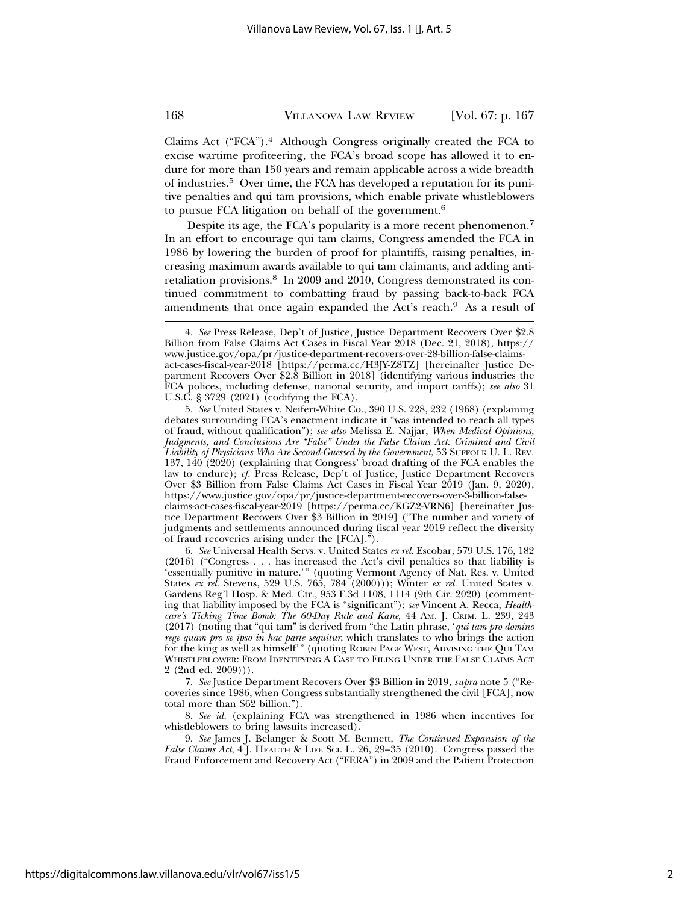Claims Act ("FCA").4 Although Congress originally created the FCA to excise wartime profiteering, the FCA's broad scope has allowed it to endure for more than 150 years and remain applicable across a wide breadth of industries.5 Over time, the FCA has developed a reputation for its punitive penalties and qui tam provisions, which enable private whistleblowers to pursue FCA litigation on behalf of the government.6

Despite its age, the FCA's popularity is a more recent phenomenon.7 In an effort to encourage qui tam claims, Congress amended the FCA in 1986 by lowering the burden of proof for plaintiffs, raising penalties, increasing maximum awards available to qui tam claimants, and adding antiretaliation provisions.8 In 2009 and 2010, Congress demonstrated its continued commitment to combatting fraud by passing back-to-back FCA amendments that once again expanded the Act's reach.<sup>9</sup> As a result of

6. *See* Universal Health Servs. v. United States *ex rel.* Escobar, 579 U.S. 176, 182 (2016) ("Congress . . . has increased the Act's civil penalties so that liability is 'essentially punitive in nature.'" (quoting Vermont Agency of Nat. Res. v. United States *ex rel.* Stevens, 529 U.S. 765, 784 (2000))); Winter *ex rel.* United States v. Gardens Reg'l Hosp. & Med. Ctr., 953 F.3d 1108, 1114 (9th Cir. 2020) (commenting that liability imposed by the FCA is "significant"); *see* Vincent A. Recca, *Healthcare's Ticking Time Bomb: The 60-Day Rule and Kane*, 44 AM. J. CRIM. L. 239, 243 (2017) (noting that "qui tam" is derived from "the Latin phrase, '*qui tam pro domino rege quam pro se ipso in hac parte sequitur*, which translates to who brings the action for the king as well as himself'" (quoting ROBIN PAGE WEST, ADVISING THE QUI TAM WHISTLEBLOWER: FROM IDENTIFYING A CASE TO FILING UNDER THE FALSE CLAIMS ACT 2 (2nd ed. 2009))).

7. *See* Justice Department Recovers Over \$3 Billion in 2019, *supra* note 5 ("Recoveries since 1986, when Congress substantially strengthened the civil [FCA], now total more than \$62 billion.").

8. *See id.* (explaining FCA was strengthened in 1986 when incentives for whistleblowers to bring lawsuits increased).

9. *See* James J. Belanger & Scott M. Bennett, *The Continued Expansion of the False Claims Act*, 4 J. HEALTH & LIFE SCI. L. 26, 29–35 (2010). Congress passed the Fraud Enforcement and Recovery Act ("FERA") in 2009 and the Patient Protection

<sup>4.</sup> *See* Press Release, Dep't of Justice, Justice Department Recovers Over \$2.8 Billion from False Claims Act Cases in Fiscal Year 2018 (Dec. 21, 2018), https:// www.justice.gov/opa/pr/justice-department-recovers-over-28-billion-false-claimsact-cases-fiscal-year-2018 [https://perma.cc/H3JY-Z8TZ] [hereinafter Justice Department Recovers Over \$2.8 Billion in 2018] (identifying various industries the FCA polices, including defense, national security, and import tariffs); *see also* 31 U.S.C. § 3729 (2021) (codifying the FCA).

<sup>5.</sup> *See* United States v. Neifert-White Co., 390 U.S. 228, 232 (1968) (explaining debates surrounding FCA's enactment indicate it "was intended to reach all types of fraud, without qualification"); *see also* Melissa E. Najjar, *When Medical Opinions, Judgments, and Conclusions Are "False" Under the False Claims Act: Criminal and Civil Liability of Physicians Who Are Second-Guessed by the Government*, 53 SUFFOLK U. L. REV. 137, 140 (2020) (explaining that Congress' broad drafting of the FCA enables the law to endure); *cf.* Press Release, Dep't of Justice, Justice Department Recovers Over \$3 Billion from False Claims Act Cases in Fiscal Year 2019 (Jan. 9, 2020), https://www.justice.gov/opa/pr/justice-department-recovers-over-3-billion-falseclaims-act-cases-fiscal-year-2019 [https://perma.cc/KGZ2-VRN6] [hereinafter Justice Department Recovers Over \$3 Billion in 2019] ("The number and variety of judgments and settlements announced during fiscal year 2019 reflect the diversity of fraud recoveries arising under the [FCA].").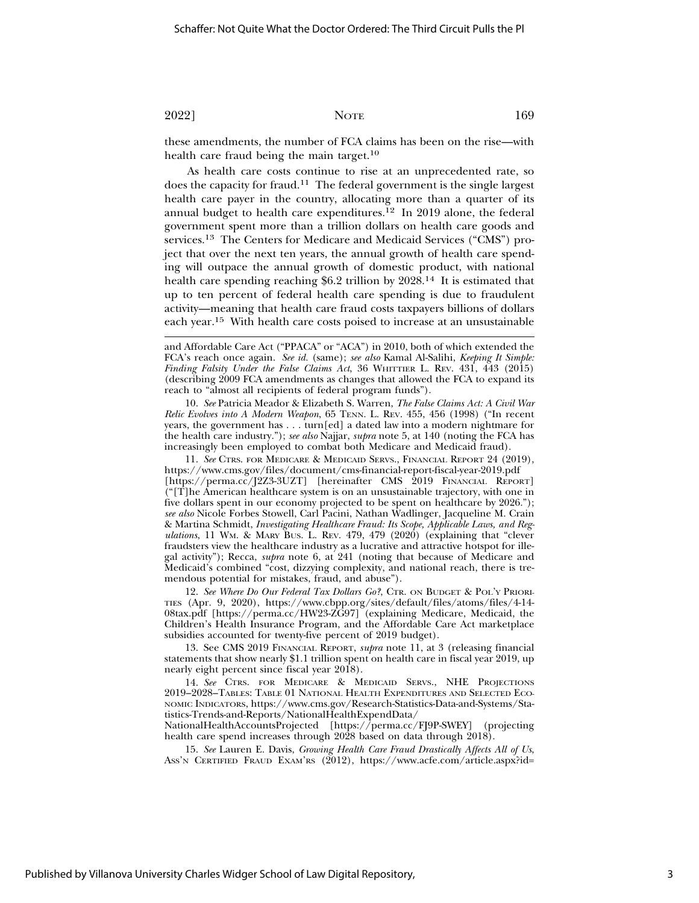these amendments, the number of FCA claims has been on the rise—with health care fraud being the main target.<sup>10</sup>

As health care costs continue to rise at an unprecedented rate, so does the capacity for fraud.11 The federal government is the single largest health care payer in the country, allocating more than a quarter of its annual budget to health care expenditures.12 In 2019 alone, the federal government spent more than a trillion dollars on health care goods and services.13 The Centers for Medicare and Medicaid Services ("CMS") project that over the next ten years, the annual growth of health care spending will outpace the annual growth of domestic product, with national health care spending reaching \$6.2 trillion by 2028.<sup>14</sup> It is estimated that up to ten percent of federal health care spending is due to fraudulent activity—meaning that health care fraud costs taxpayers billions of dollars each year.15 With health care costs poised to increase at an unsustainable

10. *See* Patricia Meador & Elizabeth S. Warren, *The False Claims Act: A Civil War Relic Evolves into A Modern Weapon*, 65 TENN. L. REV. 455, 456 (1998) ("In recent years, the government has . . . turn[ed] a dated law into a modern nightmare for the health care industry."); *see also* Najjar, *supra* note 5, at 140 (noting the FCA has increasingly been employed to combat both Medicare and Medicaid fraud).

11. *See* CTRS. FOR MEDICARE & MEDICAID SERVS., FINANCIAL REPORT 24 (2019), https://www.cms.gov/files/document/cms-financial-report-fiscal-year-2019.pdf [https://perma.cc/J2Z3-3UZT] [hereinafter CMS 2019 FINANCIAL REPORT] ("[T]he American healthcare system is on an unsustainable trajectory, with one in five dollars spent in our economy projected to be spent on healthcare by 2026."); *see also* Nicole Forbes Stowell, Carl Pacini, Nathan Wadlinger, Jacqueline M. Crain & Martina Schmidt, *Investigating Healthcare Fraud: Its Scope, Applicable Laws, and Regulations*, 11 WM. & MARY BUS. L. REV. 479, 479 (2020) (explaining that "clever fraudsters view the healthcare industry as a lucrative and attractive hotspot for illegal activity"); Recca, *supra* note 6, at 241 (noting that because of Medicare and Medicaid's combined "cost, dizzying complexity, and national reach, there is tremendous potential for mistakes, fraud, and abuse").

12. *See Where Do Our Federal Tax Dollars Go?*, CTR. ON BUDGET & POL'Y PRIORI-TIES (Apr. 9, 2020), https://www.cbpp.org/sites/default/files/atoms/files/4-14- 08tax.pdf [https://perma.cc/HW23-ZG97] (explaining Medicare, Medicaid, the Children's Health Insurance Program, and the Affordable Care Act marketplace subsidies accounted for twenty-five percent of 2019 budget).

13. See CMS 2019 FINANCIAL REPORT, *supra* note 11, at 3 (releasing financial statements that show nearly \$1.1 trillion spent on health care in fiscal year 2019, up nearly eight percent since fiscal year 2018).

14. *See* CTRS. FOR MEDICARE & MEDICAID SERVS., NHE PROJECTIONS 2019–2028–TABLES: TABLE 01 NATIONAL HEALTH EXPENDITURES AND SELECTED ECO-NOMIC INDICATORS, https://www.cms.gov/Research-Statistics-Data-and-Systems/Statistics-Trends-and-Reports/NationalHealthExpendData/

NationalHealthAccountsProjected [https://perma.cc/FJ9P-SWEY] (projecting health care spend increases through 2028 based on data through 2018).

15. *See* Lauren E. Davis, *Growing Health Care Fraud Drastically Affects All of Us*, ASS'N CERTIFIED FRAUD EXAM'RS (2012), https://www.acfe.com/article.aspx?id=

and Affordable Care Act ("PPACA" or "ACA") in 2010, both of which extended the FCA's reach once again. *See id.* (same); *see also* Kamal Al-Salihi, *Keeping It Simple: Finding Falsity Under the False Claims Act*, 36 WHITTIER L. REV. 431, 443 (2015) (describing 2009 FCA amendments as changes that allowed the FCA to expand its reach to "almost all recipients of federal program funds").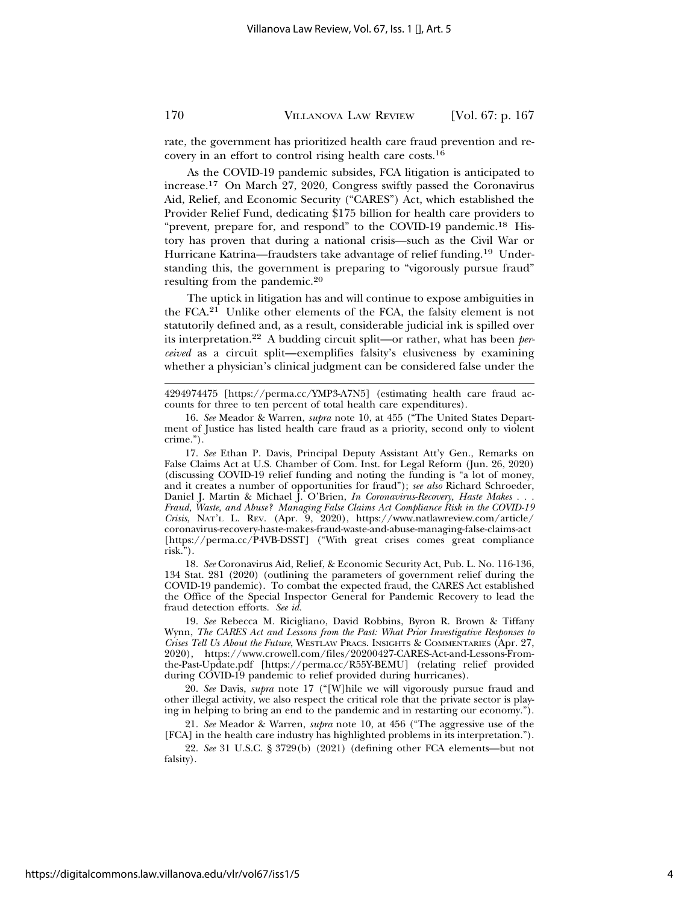rate, the government has prioritized health care fraud prevention and recovery in an effort to control rising health care costs.16

As the COVID-19 pandemic subsides, FCA litigation is anticipated to increase.17 On March 27, 2020, Congress swiftly passed the Coronavirus Aid, Relief, and Economic Security ("CARES") Act, which established the Provider Relief Fund, dedicating \$175 billion for health care providers to "prevent, prepare for, and respond" to the COVID-19 pandemic.<sup>18</sup> History has proven that during a national crisis—such as the Civil War or Hurricane Katrina—fraudsters take advantage of relief funding.<sup>19</sup> Understanding this, the government is preparing to "vigorously pursue fraud" resulting from the pandemic.20

The uptick in litigation has and will continue to expose ambiguities in the FCA.21 Unlike other elements of the FCA, the falsity element is not statutorily defined and, as a result, considerable judicial ink is spilled over its interpretation.22 A budding circuit split—or rather, what has been *perceived* as a circuit split—exemplifies falsity's elusiveness by examining whether a physician's clinical judgment can be considered false under the

17. *See* Ethan P. Davis, Principal Deputy Assistant Att'y Gen., Remarks on False Claims Act at U.S. Chamber of Com. Inst. for Legal Reform (Jun. 26, 2020) (discussing COVID-19 relief funding and noting the funding is "a lot of money, and it creates a number of opportunities for fraud"); *see also* Richard Schroeder, Daniel J. Martin & Michael J. O'Brien, *In Coronavirus-Recovery, Haste Makes . . . Fraud, Waste, and Abuse? Managing False Claims Act Compliance Risk in the COVID-19 Crisis*, NAT'L L. REV. (Apr. 9, 2020), https://www.natlawreview.com/article/ coronavirus-recovery-haste-makes-fraud-waste-and-abuse-managing-false-claims-act [https://perma.cc/P4VB-DSST] ("With great crises comes great compliance risk.").

18. *See* Coronavirus Aid, Relief, & Economic Security Act, Pub. L. No. 116-136, 134 Stat. 281 (2020) (outlining the parameters of government relief during the COVID-19 pandemic). To combat the expected fraud, the CARES Act established the Office of the Special Inspector General for Pandemic Recovery to lead the fraud detection efforts. *See id.*

19. *See* Rebecca M. Ricigliano, David Robbins, Byron R. Brown & Tiffany Wynn, *The CARES Act and Lessons from the Past: What Prior Investigative Responses to Crises Tell Us About the Future*, WESTLAW PRACS. INSIGHTS & COMMENTARIES (Apr. 27, 2020), https://www.crowell.com/files/20200427-CARES-Act-and-Lessons-Fromthe-Past-Update.pdf [https://perma.cc/R55Y-BEMU] (relating relief provided during COVID-19 pandemic to relief provided during hurricanes).

20. *See* Davis, *supra* note 17 ("[W]hile we will vigorously pursue fraud and other illegal activity, we also respect the critical role that the private sector is playing in helping to bring an end to the pandemic and in restarting our economy.").

21. *See* Meador & Warren, *supra* note 10, at 456 ("The aggressive use of the [FCA] in the health care industry has highlighted problems in its interpretation.").

22. *See* 31 U.S.C. § 3729(b) (2021) (defining other FCA elements—but not falsity).

<sup>4294974475 [</sup>https://perma.cc/YMP3-A7N5] (estimating health care fraud accounts for three to ten percent of total health care expenditures).

<sup>16.</sup> *See* Meador & Warren, *supra* note 10, at 455 ("The United States Department of Justice has listed health care fraud as a priority, second only to violent crime.").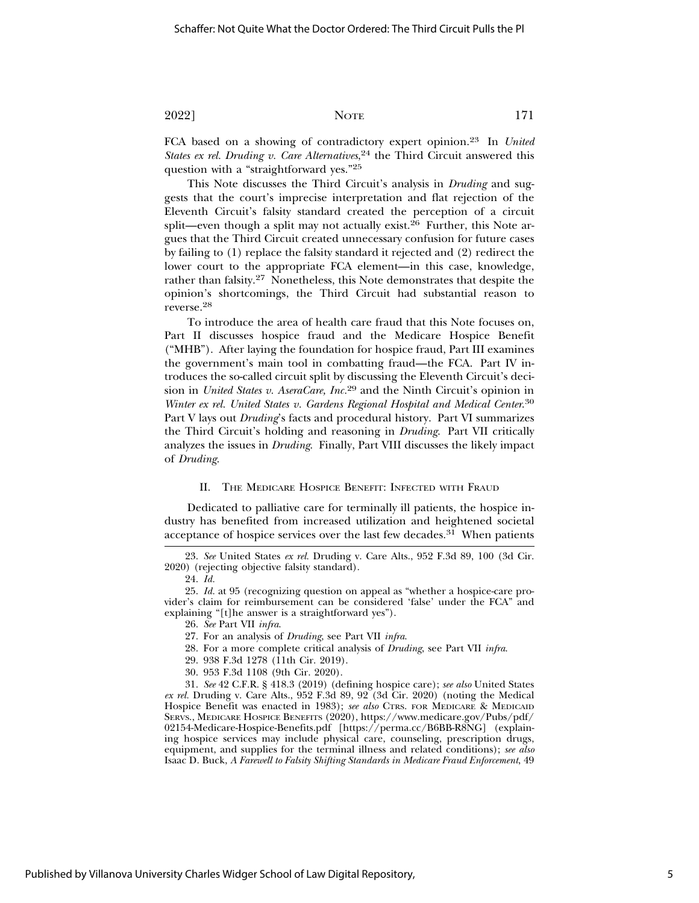FCA based on a showing of contradictory expert opinion.23 In *United States ex rel. Druding v. Care Alternatives*, 24 the Third Circuit answered this question with a "straightforward yes."25

This Note discusses the Third Circuit's analysis in *Druding* and suggests that the court's imprecise interpretation and flat rejection of the Eleventh Circuit's falsity standard created the perception of a circuit split—even though a split may not actually exist.<sup>26</sup> Further, this Note argues that the Third Circuit created unnecessary confusion for future cases by failing to (1) replace the falsity standard it rejected and (2) redirect the lower court to the appropriate FCA element—in this case, knowledge, rather than falsity.<sup>27</sup> Nonetheless, this Note demonstrates that despite the opinion's shortcomings, the Third Circuit had substantial reason to reverse.<sup>28</sup>

To introduce the area of health care fraud that this Note focuses on, Part II discusses hospice fraud and the Medicare Hospice Benefit ("MHB"). After laying the foundation for hospice fraud, Part III examines the government's main tool in combatting fraud—the FCA. Part IV introduces the so-called circuit split by discussing the Eleventh Circuit's decision in *United States v. AseraCare, Inc.*29 and the Ninth Circuit's opinion in *Winter ex rel. United States v. Gardens Regional Hospital and Medical Center*. 30 Part V lays out *Druding*'s facts and procedural history. Part VI summarizes the Third Circuit's holding and reasoning in *Druding*. Part VII critically analyzes the issues in *Druding*. Finally, Part VIII discusses the likely impact of *Druding*.

#### II. THE MEDICARE HOSPICE BENEFIT: INFECTED WITH FRAUD

Dedicated to palliative care for terminally ill patients, the hospice industry has benefited from increased utilization and heightened societal acceptance of hospice services over the last few decades.31 When patients

25. *Id.* at 95 (recognizing question on appeal as "whether a hospice-care provider's claim for reimbursement can be considered 'false' under the FCA" and explaining "[t]he answer is a straightforward yes").

- 28. For a more complete critical analysis of *Druding*, see Part VII *infra*.
- 29. 938 F.3d 1278 (11th Cir. 2019).
- 30. 953 F.3d 1108 (9th Cir. 2020).

31. *See* 42 C.F.R. § 418.3 (2019) (defining hospice care); *see also* United States *ex rel.* Druding v. Care Alts., 952 F.3d 89, 92 (3d Cir. 2020) (noting the Medical Hospice Benefit was enacted in 1983); see also CTRS. FOR MEDICARE & MEDICAID SERVS., MEDICARE HOSPICE BENEFITS (2020), https://www.medicare.gov/Pubs/pdf/ 02154-Medicare-Hospice-Benefits.pdf [https://perma.cc/B6BB-R8NG] (explaining hospice services may include physical care, counseling, prescription drugs, equipment, and supplies for the terminal illness and related conditions); *see also* Isaac D. Buck, *A Farewell to Falsity Shifting Standards in Medicare Fraud Enforcement*, 49

<sup>23.</sup> *See* United States *ex rel.* Druding v. Care Alts., 952 F.3d 89, 100 (3d Cir. 2020) (rejecting objective falsity standard).

<sup>24.</sup> *Id.*

<sup>26.</sup> *See* Part VII *infra*.

<sup>27.</sup> For an analysis of *Druding*, see Part VII *infra*.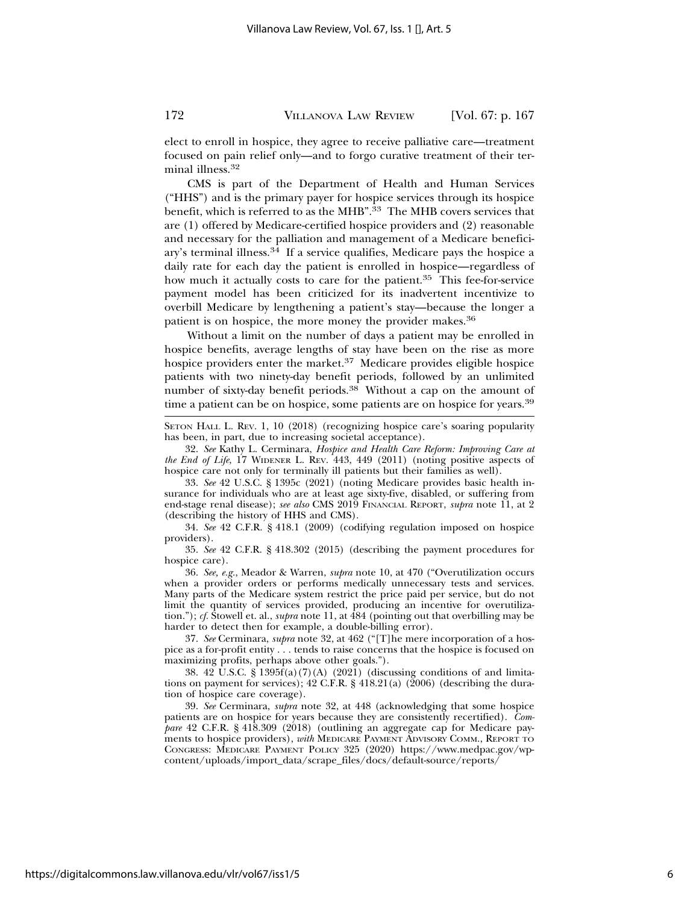elect to enroll in hospice, they agree to receive palliative care—treatment focused on pain relief only—and to forgo curative treatment of their terminal illness.32

CMS is part of the Department of Health and Human Services ("HHS") and is the primary payer for hospice services through its hospice benefit, which is referred to as the MHB".33 The MHB covers services that are (1) offered by Medicare-certified hospice providers and (2) reasonable and necessary for the palliation and management of a Medicare beneficiary's terminal illness.34 If a service qualifies, Medicare pays the hospice a daily rate for each day the patient is enrolled in hospice—regardless of how much it actually costs to care for the patient.<sup>35</sup> This fee-for-service payment model has been criticized for its inadvertent incentivize to overbill Medicare by lengthening a patient's stay—because the longer a patient is on hospice, the more money the provider makes.36

Without a limit on the number of days a patient may be enrolled in hospice benefits, average lengths of stay have been on the rise as more hospice providers enter the market.<sup>37</sup> Medicare provides eligible hospice patients with two ninety-day benefit periods, followed by an unlimited number of sixty-day benefit periods.38 Without a cap on the amount of time a patient can be on hospice, some patients are on hospice for years.<sup>39</sup>

SETON HALL L. REV. 1, 10 (2018) (recognizing hospice care's soaring popularity has been, in part, due to increasing societal acceptance).

32. *See* Kathy L. Cerminara, *Hospice and Health Care Reform: Improving Care at the End of Life*, 17 WIDENER L. REV. 443, 449 (2011) (noting positive aspects of hospice care not only for terminally ill patients but their families as well).

33. *See* 42 U.S.C. § 1395c (2021) (noting Medicare provides basic health insurance for individuals who are at least age sixty-five, disabled, or suffering from end-stage renal disease); *see also* CMS 2019 FINANCIAL REPORT, *supra* note 11, at 2 (describing the history of HHS and CMS).

34. *See* 42 C.F.R. § 418.1 (2009) (codifying regulation imposed on hospice providers).

35. *See* 42 C.F.R. § 418.302 (2015) (describing the payment procedures for hospice care).

36. *See, e.g.*, Meador & Warren, *supra* note 10, at 470 ("Overutilization occurs when a provider orders or performs medically unnecessary tests and services. Many parts of the Medicare system restrict the price paid per service, but do not limit the quantity of services provided, producing an incentive for overutilization."); *cf.* Stowell et. al., *supra* note 11, at 484 (pointing out that overbilling may be harder to detect then for example, a double-billing error).

37. *See* Cerminara, *supra* note 32, at 462 ("[T]he mere incorporation of a hospice as a for-profit entity . . . tends to raise concerns that the hospice is focused on maximizing profits, perhaps above other goals.").

38. 42 U.S.C. § 1395f(a)(7)(A) (2021) (discussing conditions of and limitations on payment for services); 42 C.F.R. § 418.21(a) (2006) (describing the duration of hospice care coverage).

39. *See* Cerminara, *supra* note 32, at 448 (acknowledging that some hospice patients are on hospice for years because they are consistently recertified). *Compare* 42 C.F.R. § 418.309 (2018) (outlining an aggregate cap for Medicare payments to hospice providers), *with* MEDICARE PAYMENT ADVISORY COMM., REPORT TO CONGRESS: MEDICARE PAYMENT POLICY 325 (2020) https://www.medpac.gov/wpcontent/uploads/import\_data/scrape\_files/docs/default-source/reports/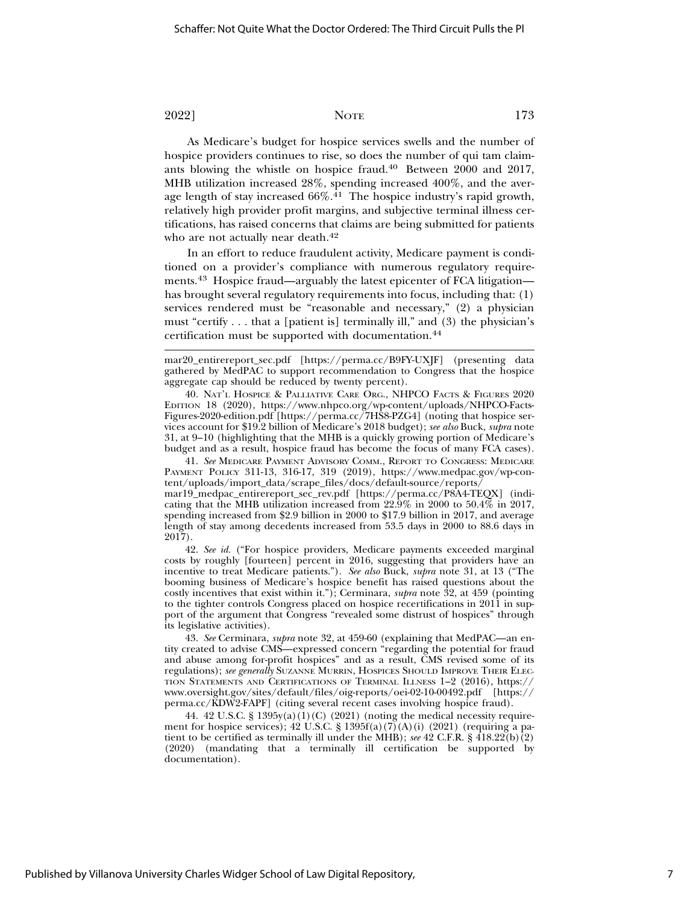As Medicare's budget for hospice services swells and the number of hospice providers continues to rise, so does the number of qui tam claimants blowing the whistle on hospice fraud.40 Between 2000 and 2017, MHB utilization increased 28%, spending increased 400%, and the average length of stay increased  $66\%$ .<sup>41</sup> The hospice industry's rapid growth, relatively high provider profit margins, and subjective terminal illness certifications, has raised concerns that claims are being submitted for patients who are not actually near death.<sup>42</sup>

In an effort to reduce fraudulent activity, Medicare payment is conditioned on a provider's compliance with numerous regulatory requirements.<sup>43</sup> Hospice fraud—arguably the latest epicenter of FCA litigation has brought several regulatory requirements into focus, including that: (1) services rendered must be "reasonable and necessary," (2) a physician must "certify . . . that a [patient is] terminally ill," and (3) the physician's certification must be supported with documentation.44

mar20\_entirereport\_sec.pdf [https://perma.cc/B9FY-UXJF] (presenting data gathered by MedPAC to support recommendation to Congress that the hospice aggregate cap should be reduced by twenty percent).

40. NAT'L HOSPICE & PALLIATIVE CARE ORG., NHPCO FACTS & FIGURES 2020 EDITION 18 (2020), https://www.nhpco.org/wp-content/uploads/NHPCO-Facts-Figures-2020-edition.pdf [https://perma.cc/7HS8-PZG4] (noting that hospice services account for \$19.2 billion of Medicare's 2018 budget); *see also* Buck, *supra* note 31, at 9–10 (highlighting that the MHB is a quickly growing portion of Medicare's budget and as a result, hospice fraud has become the focus of many FCA cases).

41. *See* MEDICARE PAYMENT ADVISORY COMM., REPORT TO CONGRESS: MEDICARE PAYMENT POLICY 311-13, 316-17, 319 (2019), https://www.medpac.gov/wp-content/uploads/import\_data/scrape\_files/docs/default-source/reports/

mar19\_medpac\_entirereport\_sec\_rev.pdf [https://perma.cc/P8A4-TEQX] (indicating that the MHB utilization increased from 22.9% in 2000 to 50.4% in 2017, spending increased from \$2.9 billion in 2000 to \$17.9 billion in 2017, and average length of stay among decedents increased from 53.5 days in 2000 to 88.6 days in 2017).

42. *See id.* ("For hospice providers, Medicare payments exceeded marginal costs by roughly [fourteen] percent in 2016, suggesting that providers have an incentive to treat Medicare patients."). *See also* Buck, *supra* note 31, at 13 ("The booming business of Medicare's hospice benefit has raised questions about the costly incentives that exist within it."); Cerminara, *supra* note 32, at 459 (pointing to the tighter controls Congress placed on hospice recertifications in 2011 in support of the argument that Congress "revealed some distrust of hospices" through its legislative activities).

43. *See* Cerminara, *supra* note 32, at 459-60 (explaining that MedPAC—an entity created to advise CMS—expressed concern "regarding the potential for fraud and abuse among for-profit hospices" and as a result, CMS revised some of its regulations); *see generally* SUZANNE MURRIN, HOSPICES SHOULD IMPROVE THEIR ELEC-TION STATEMENTS AND CERTIFICATIONS OF TERMINAL ILLNESS 1–2 (2016), https:// www.oversight.gov/sites/default/files/oig-reports/oei-02-10-00492.pdf [https:// perma.cc/KDW2-FAPF] (citing several recent cases involving hospice fraud).

44. 42 U.S.C. §  $1395y(a)(1)(C)$  (2021) (noting the medical necessity requirement for hospice services); 42 U.S.C. § 1395 $f(a)(7)(A)(i)$  (2021) (requiring a patient to be certified as terminally ill under the MHB); *see* 42 C.F.R. § 418.22(b)(2) (2020) (mandating that a terminally ill certification be supported by documentation).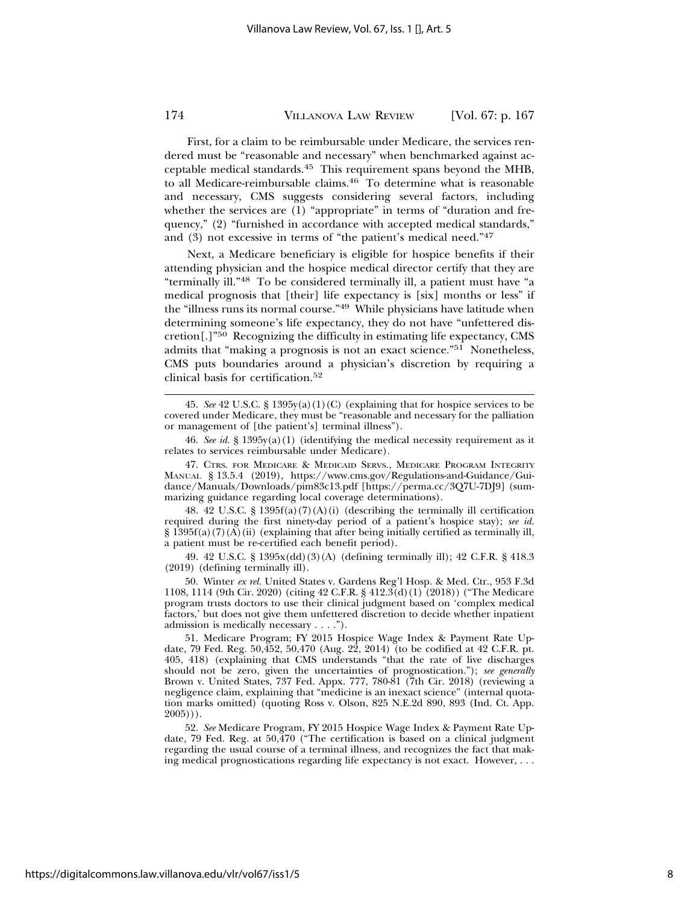First, for a claim to be reimbursable under Medicare, the services rendered must be "reasonable and necessary" when benchmarked against acceptable medical standards.45 This requirement spans beyond the MHB, to all Medicare-reimbursable claims.46 To determine what is reasonable and necessary, CMS suggests considering several factors, including whether the services are (1) "appropriate" in terms of "duration and frequency," (2) "furnished in accordance with accepted medical standards," and (3) not excessive in terms of "the patient's medical need."47

Next, a Medicare beneficiary is eligible for hospice benefits if their attending physician and the hospice medical director certify that they are "terminally ill."48 To be considered terminally ill, a patient must have "a medical prognosis that [their] life expectancy is [six] months or less" if the "illness runs its normal course."49 While physicians have latitude when determining someone's life expectancy, they do not have "unfettered discretion[.]"50 Recognizing the difficulty in estimating life expectancy, CMS admits that "making a prognosis is not an exact science."51 Nonetheless, CMS puts boundaries around a physician's discretion by requiring a clinical basis for certification.52

46. *See id.* § 1395y(a)(1) (identifying the medical necessity requirement as it relates to services reimbursable under Medicare).

47. CTRS. FOR MEDICARE & MEDICAID SERVS., MEDICARE PROGRAM INTEGRITY MANUAL § 13.5.4 (2019), https://www.cms.gov/Regulations-and-Guidance/Guidance/Manuals/Downloads/pim83c13.pdf [https://perma.cc/3Q7U-7DJ9] (summarizing guidance regarding local coverage determinations).

48. 42 U.S.C.  $\S 1395f(a)(7)(A)(i)$  (describing the terminally ill certification required during the first ninety-day period of a patient's hospice stay); *see id.*  $\S 1395f(a)(7)$ (A)(ii) (explaining that after being initially certified as terminally ill, a patient must be re-certified each benefit period).

49. 42 U.S.C. § 1395x(dd)(3)(A) (defining terminally ill); 42 C.F.R. § 418.3 (2019) (defining terminally ill).

50. Winter *ex rel.* United States v. Gardens Reg'l Hosp. & Med. Ctr., 953 F.3d 1108, 1114 (9th Cir. 2020) (citing 42 C.F.R. § 412.3(d)(1) (2018)) ("The Medicare program trusts doctors to use their clinical judgment based on 'complex medical factors,' but does not give them unfettered discretion to decide whether inpatient admission is medically necessary . . . .").

51. Medicare Program; FY 2015 Hospice Wage Index & Payment Rate Update, 79 Fed. Reg. 50,452, 50,470 (Aug.  $2\hat{2}$ , 2014) (to be codified at 42 C.F.R. pt. 405, 418) (explaining that CMS understands "that the rate of live discharges should not be zero, given the uncertainties of prognostication."); *see generally* Brown v. United States, 737 Fed. Appx. 777, 780-81 (7th Cir. 2018) (reviewing a negligence claim, explaining that "medicine is an inexact science" (internal quotation marks omitted) (quoting Ross v. Olson, 825 N.E.2d 890, 893 (Ind. Ct. App.  $2005$ )).

52. *See* Medicare Program, FY 2015 Hospice Wage Index & Payment Rate Update, 79 Fed. Reg. at 50,470 ("The certification is based on a clinical judgment regarding the usual course of a terminal illness, and recognizes the fact that making medical prognostications regarding life expectancy is not exact. However, . . .

<sup>45.</sup> *See* 42 U.S.C. § 1395y(a)(1)(C) (explaining that for hospice services to be covered under Medicare, they must be "reasonable and necessary for the palliation or management of [the patient's] terminal illness").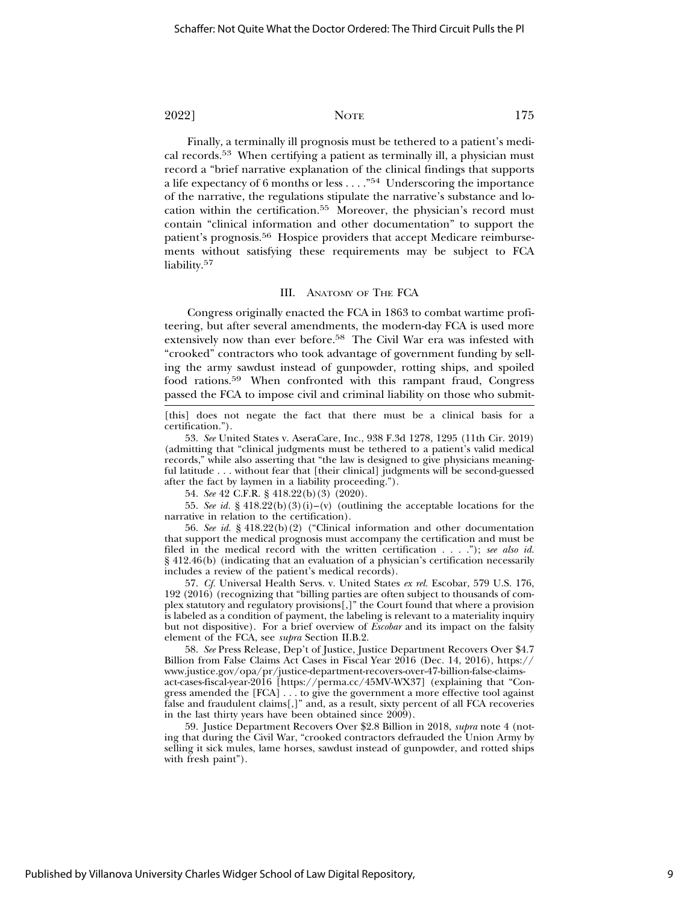Finally, a terminally ill prognosis must be tethered to a patient's medical records.53 When certifying a patient as terminally ill, a physician must record a "brief narrative explanation of the clinical findings that supports a life expectancy of 6 months or less . . . ."54 Underscoring the importance of the narrative, the regulations stipulate the narrative's substance and location within the certification.55 Moreover, the physician's record must contain "clinical information and other documentation" to support the patient's prognosis.56 Hospice providers that accept Medicare reimbursements without satisfying these requirements may be subject to FCA liability.<sup>57</sup>

#### III. ANATOMY OF THE FCA

Congress originally enacted the FCA in 1863 to combat wartime profiteering, but after several amendments, the modern-day FCA is used more extensively now than ever before.58 The Civil War era was infested with "crooked" contractors who took advantage of government funding by selling the army sawdust instead of gunpowder, rotting ships, and spoiled food rations.59 When confronted with this rampant fraud, Congress passed the FCA to impose civil and criminal liability on those who submit-

54. *See* 42 C.F.R. § 418.22(b)(3) (2020).

55. *See id.* § 418.22(b)(3)(i)–(v) (outlining the acceptable locations for the narrative in relation to the certification).

56. *See id.* § 418.22(b)(2) ("Clinical information and other documentation that support the medical prognosis must accompany the certification and must be filed in the medical record with the written certification . . . ."); *see also id.* § 412.46(b) (indicating that an evaluation of a physician's certification necessarily includes a review of the patient's medical records).

57. *Cf.* Universal Health Servs. v. United States *ex rel.* Escobar, 579 U.S. 176, 192 (2016) (recognizing that "billing parties are often subject to thousands of complex statutory and regulatory provisions[,]" the Court found that where a provision is labeled as a condition of payment, the labeling is relevant to a materiality inquiry but not dispositive). For a brief overview of *Escobar* and its impact on the falsity element of the FCA, see *supra* Section II.B.2.

58. *See* Press Release, Dep't of Justice, Justice Department Recovers Over \$4.7 Billion from False Claims Act Cases in Fiscal Year 2016 (Dec. 14, 2016), https:// www.justice.gov/opa/pr/justice-department-recovers-over-47-billion-false-claimsact-cases-fiscal-year-2016 [https://perma.cc/45MV-WX37] (explaining that "Congress amended the [FCA] . . . to give the government a more effective tool against false and fraudulent claims[,]" and, as a result, sixty percent of all FCA recoveries in the last thirty years have been obtained since 2009).

59. Justice Department Recovers Over \$2.8 Billion in 2018, *supra* note 4 (noting that during the Civil War, "crooked contractors defrauded the Union Army by selling it sick mules, lame horses, sawdust instead of gunpowder, and rotted ships with fresh paint").

<sup>[</sup>this] does not negate the fact that there must be a clinical basis for a certification.").

<sup>53.</sup> *See* United States v. AseraCare, Inc., 938 F.3d 1278, 1295 (11th Cir. 2019) (admitting that "clinical judgments must be tethered to a patient's valid medical records," while also asserting that "the law is designed to give physicians meaningful latitude . . . without fear that [their clinical] judgments will be second-guessed after the fact by laymen in a liability proceeding.").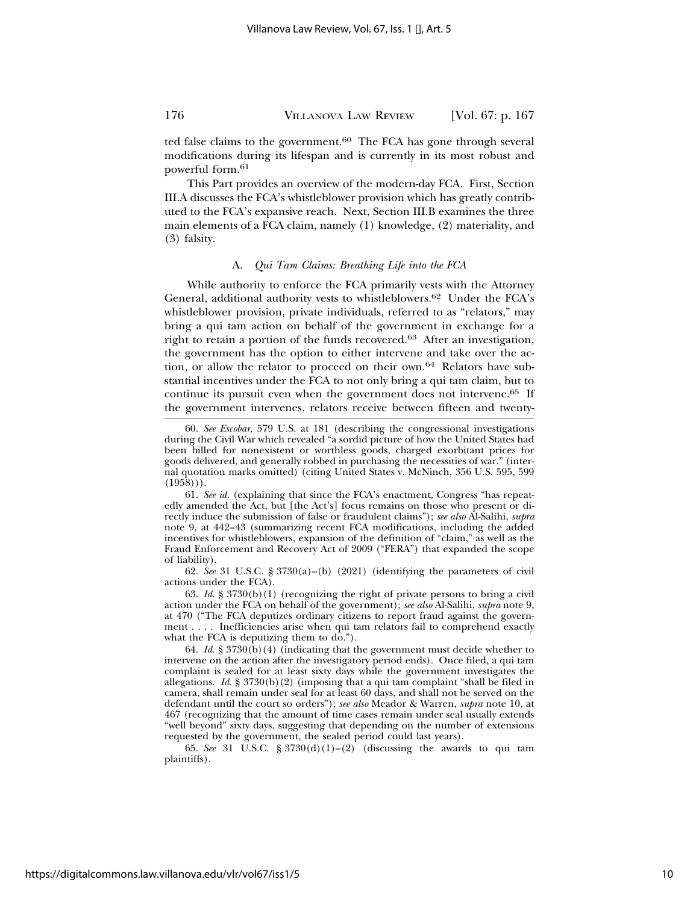ted false claims to the government. $60$  The FCA has gone through several modifications during its lifespan and is currently in its most robust and powerful form.61

This Part provides an overview of the modern-day FCA. First, Section III.A discusses the FCA's whistleblower provision which has greatly contributed to the FCA's expansive reach. Next, Section III.B examines the three main elements of a FCA claim, namely (1) knowledge, (2) materiality, and (3) falsity.

#### A. *Qui Tam Claims: Breathing Life into the FCA*

While authority to enforce the FCA primarily vests with the Attorney General, additional authority vests to whistleblowers.62 Under the FCA's whistleblower provision, private individuals, referred to as "relators," may bring a qui tam action on behalf of the government in exchange for a right to retain a portion of the funds recovered.63 After an investigation, the government has the option to either intervene and take over the action, or allow the relator to proceed on their own.64 Relators have substantial incentives under the FCA to not only bring a qui tam claim, but to continue its pursuit even when the government does not intervene.65 If the government intervenes, relators receive between fifteen and twenty-

61. *See id.* (explaining that since the FCA's enactment, Congress "has repeatedly amended the Act, but [the Act's] focus remains on those who present or directly induce the submission of false or fraudulent claims"); *see also* Al-Salihi, *supra* note 9, at 442–43 (summarizing recent FCA modifications, including the added incentives for whistleblowers, expansion of the definition of "claim," as well as the Fraud Enforcement and Recovery Act of 2009 ("FERA") that expanded the scope of liability).

62. *See* 31 U.S.C. § 3730(a)–(b) (2021) (identifying the parameters of civil actions under the FCA).

63. *Id.* § 3730(b)(1) (recognizing the right of private persons to bring a civil action under the FCA on behalf of the government); *see also* Al-Salihi, *supra* note 9, at 470 ("The FCA deputizes ordinary citizens to report fraud against the government . . . . Inefficiencies arise when qui tam relators fail to comprehend exactly what the FCA is deputizing them to do.").

64. *Id.* § 3730(b)(4) (indicating that the government must decide whether to intervene on the action after the investigatory period ends). Once filed, a qui tam complaint is sealed for at least sixty days while the government investigates the allegations.  $Id. \S$  3730(b)(2) (imposing that a qui tam complaint "shall be filed in camera, shall remain under seal for at least 60 days, and shall not be served on the defendant until the court so orders"); *see also* Meador & Warren, *supra* note 10, at 467 (recognizing that the amount of time cases remain under seal usually extends "well beyond" sixty days, suggesting that depending on the number of extensions requested by the government, the sealed period could last years).

65. *See* 31 U.S.C. § 3730(d)(1)–(2) (discussing the awards to qui tam plaintiffs).

<sup>60.</sup> *See Escobar*, 579 U.S. at 181 (describing the congressional investigations during the Civil War which revealed "a sordid picture of how the United States had been billed for nonexistent or worthless goods, charged exorbitant prices for goods delivered, and generally robbed in purchasing the necessities of war." (internal quotation marks omitted) (citing United States v. McNinch, 356 U.S. 595, 599  $(1958))$ .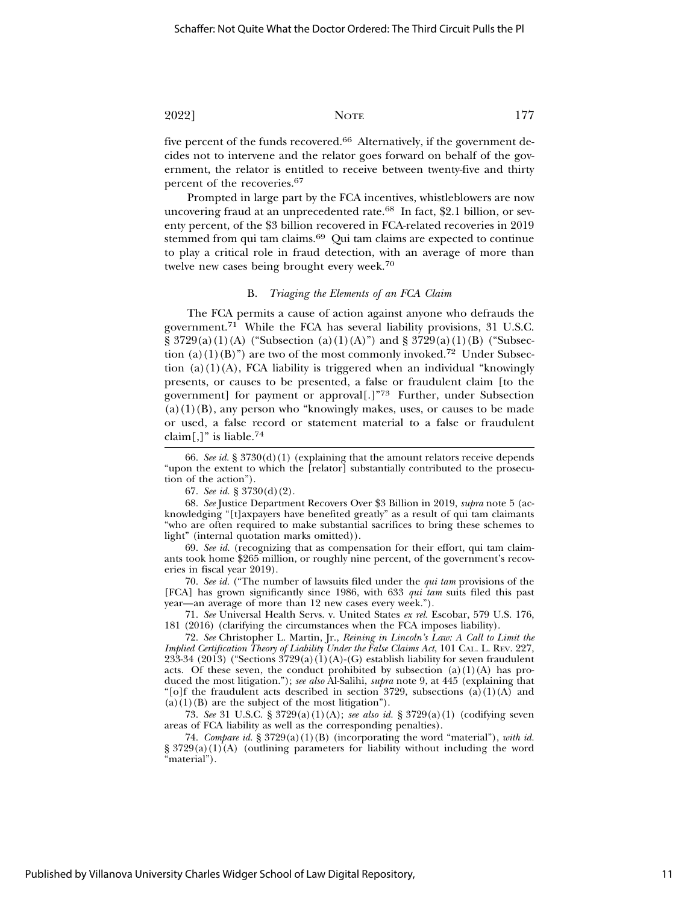five percent of the funds recovered.<sup>66</sup> Alternatively, if the government decides not to intervene and the relator goes forward on behalf of the government, the relator is entitled to receive between twenty-five and thirty percent of the recoveries.67

Prompted in large part by the FCA incentives, whistleblowers are now uncovering fraud at an unprecedented rate.<sup>68</sup> In fact, \$2.1 billion, or seventy percent, of the \$3 billion recovered in FCA-related recoveries in 2019 stemmed from qui tam claims.69 Qui tam claims are expected to continue to play a critical role in fraud detection, with an average of more than twelve new cases being brought every week.<sup>70</sup>

#### B. *Triaging the Elements of an FCA Claim*

The FCA permits a cause of action against anyone who defrauds the government.<sup>71</sup> While the FCA has several liability provisions, 31 U.S.C.  $\S 3729(a)(1)(A)$  ("Subsection (a)(1)(A)") and  $\S 3729(a)(1)(B)$  ("Subsection (a)(1)(B)") are two of the most commonly invoked.<sup>72</sup> Under Subsection  $(a)(1)(A)$ , FCA liability is triggered when an individual "knowingly presents, or causes to be presented, a false or fraudulent claim [to the government] for payment or approval[.]"73 Further, under Subsection  $(a)(1)(B)$ , any person who "knowingly makes, uses, or causes to be made or used, a false record or statement material to a false or fraudulent claim[,]" is liable.<sup>74</sup>

66. *See id.* § 3730(d)(1) (explaining that the amount relators receive depends "upon the extent to which the [relator] substantially contributed to the prosecution of the action").

67. *See id.* § 3730(d)(2).

68. *See* Justice Department Recovers Over \$3 Billion in 2019, *supra* note 5 (acknowledging "[t]axpayers have benefited greatly" as a result of qui tam claimants "who are often required to make substantial sacrifices to bring these schemes to light" (internal quotation marks omitted)).

69. *See id.* (recognizing that as compensation for their effort, qui tam claimants took home \$265 million, or roughly nine percent, of the government's recoveries in fiscal year 2019).

70. *See id.* ("The number of lawsuits filed under the *qui tam* provisions of the [FCA] has grown significantly since 1986, with 633 *qui tam* suits filed this past year—an average of more than 12 new cases every week.").

71. *See* Universal Health Servs. v. United States *ex rel.* Escobar, 579 U.S. 176, 181 (2016) (clarifying the circumstances when the FCA imposes liability).

72. *See* Christopher L. Martin, Jr., *Reining in Lincoln's Law: A Call to Limit the Implied Certification Theory of Liability Under the False Claims Act*, 101 CAL. L. REV. 227, 233-34 (2013) ("Sections  $3729(a)(1)(A)-(G)$  establish liability for seven fraudulent acts. Of these seven, the conduct prohibited by subsection  $(a)(1)(A)$  has produced the most litigation."); *see also* Al-Salihi, *supra* note 9, at 445 (explaining that "[o]f the fraudulent acts described in section 3729, subsections (a)(1)(A) and  $(a)(1)(B)$  are the subject of the most litigation").

73. *See* 31 U.S.C. § 3729(a)(1)(A); *see also id.* § 3729(a)(1) (codifying seven areas of FCA liability as well as the corresponding penalties).

74. *Compare id.* § 3729(a)(1)(B) (incorporating the word "material"), *with id.*  $\S 3729(a)(1)(A)$  (outlining parameters for liability without including the word "material").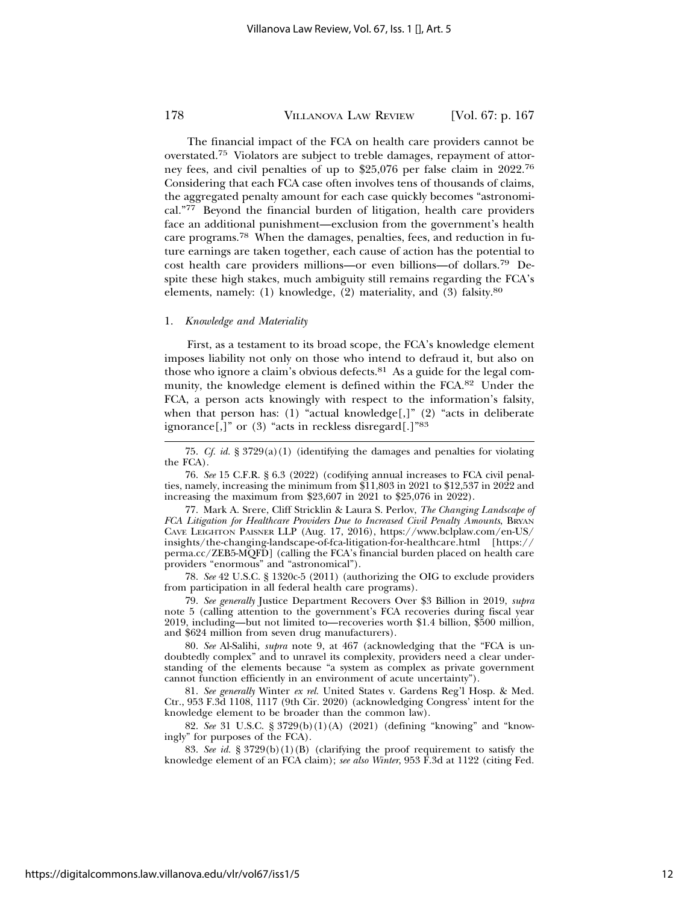The financial impact of the FCA on health care providers cannot be overstated.75 Violators are subject to treble damages, repayment of attorney fees, and civil penalties of up to \$25,076 per false claim in 2022.76 Considering that each FCA case often involves tens of thousands of claims, the aggregated penalty amount for each case quickly becomes "astronomical."77 Beyond the financial burden of litigation, health care providers face an additional punishment—exclusion from the government's health care programs.78 When the damages, penalties, fees, and reduction in future earnings are taken together, each cause of action has the potential to cost health care providers millions—or even billions—of dollars.79 Despite these high stakes, much ambiguity still remains regarding the FCA's elements, namely: (1) knowledge, (2) materiality, and (3) falsity.80

#### 1. *Knowledge and Materiality*

First, as a testament to its broad scope, the FCA's knowledge element imposes liability not only on those who intend to defraud it, but also on those who ignore a claim's obvious defects. $81$  As a guide for the legal community, the knowledge element is defined within the FCA.82 Under the FCA, a person acts knowingly with respect to the information's falsity, when that person has: (1) "actual knowledge[,]" (2) "acts in deliberate ignorance[,]" or (3) "acts in reckless disregard[.]"83

76. *See* 15 C.F.R. § 6.3 (2022) (codifying annual increases to FCA civil penalties, namely, increasing the minimum from \$11,803 in 2021 to \$12,537 in 2022 and increasing the maximum from \$23,607 in 2021 to \$25,076 in 2022).

77. Mark A. Srere, Cliff Stricklin & Laura S. Perlov, *The Changing Landscape of FCA Litigation for Healthcare Providers Due to Increased Civil Penalty Amounts*, BRYAN CAVE LEIGHTON PAISNER LLP (Aug. 17, 2016), https://www.bclplaw.com/en-US/ insights/the-changing-landscape-of-fca-litigation-for-healthcare.html [https:// perma.cc/ZEB5-MQFD] (calling the FCA's financial burden placed on health care providers "enormous" and "astronomical").

78. *See* 42 U.S.C. § 1320c-5 (2011) (authorizing the OIG to exclude providers from participation in all federal health care programs).

79. *See generally* Justice Department Recovers Over \$3 Billion in 2019, *supra* note 5 (calling attention to the government's FCA recoveries during fiscal year 2019, including—but not limited to—recoveries worth \$1.4 billion, \$500 million, and \$624 million from seven drug manufacturers).

80. *See* Al-Salihi, *supra* note 9, at 467 (acknowledging that the "FCA is undoubtedly complex" and to unravel its complexity, providers need a clear understanding of the elements because "a system as complex as private government cannot function efficiently in an environment of acute uncertainty").

81. *See generally* Winter *ex rel.* United States v. Gardens Reg'l Hosp. & Med. Ctr., 953 F.3d 1108, 1117 (9th Cir. 2020) (acknowledging Congress' intent for the knowledge element to be broader than the common law).

82. *See* 31 U.S.C. § 3729(b)(1)(A) (2021) (defining "knowing" and "knowingly" for purposes of the FCA).

83. *See id.* § 3729(b)(1)(B) (clarifying the proof requirement to satisfy the knowledge element of an FCA claim); *see also Winter*, 953 F.3d at 1122 (citing Fed.

<sup>75.</sup> *Cf. id.* § 3729(a)(1) (identifying the damages and penalties for violating the FCA).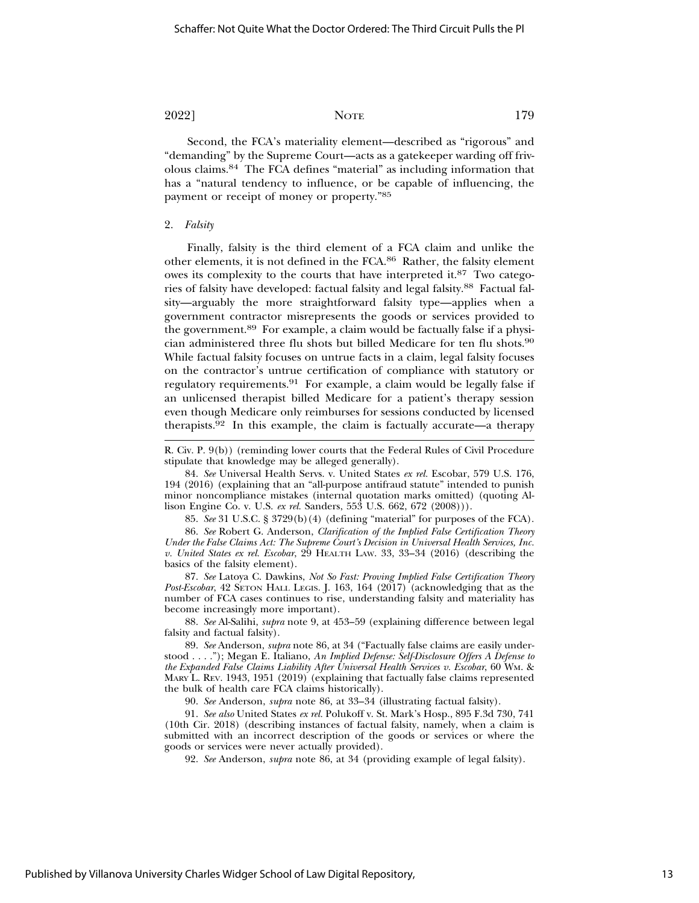Second, the FCA's materiality element—described as "rigorous" and "demanding" by the Supreme Court—acts as a gatekeeper warding off frivolous claims.84 The FCA defines "material" as including information that has a "natural tendency to influence, or be capable of influencing, the payment or receipt of money or property."85

#### 2. *Falsity*

Finally, falsity is the third element of a FCA claim and unlike the other elements, it is not defined in the FCA.86 Rather, the falsity element owes its complexity to the courts that have interpreted it.87 Two categories of falsity have developed: factual falsity and legal falsity.88 Factual falsity—arguably the more straightforward falsity type—applies when a government contractor misrepresents the goods or services provided to the government.89 For example, a claim would be factually false if a physician administered three flu shots but billed Medicare for ten flu shots.90 While factual falsity focuses on untrue facts in a claim, legal falsity focuses on the contractor's untrue certification of compliance with statutory or regulatory requirements.91 For example, a claim would be legally false if an unlicensed therapist billed Medicare for a patient's therapy session even though Medicare only reimburses for sessions conducted by licensed therapists.92 In this example, the claim is factually accurate—a therapy

R. Civ. P. 9(b)) (reminding lower courts that the Federal Rules of Civil Procedure stipulate that knowledge may be alleged generally).

84. *See* Universal Health Servs. v. United States *ex rel.* Escobar, 579 U.S. 176, 194 (2016) (explaining that an "all-purpose antifraud statute" intended to punish minor noncompliance mistakes (internal quotation marks omitted) (quoting Allison Engine Co. v. U.S. *ex rel.* Sanders, 553 U.S. 662, 672 (2008))).

85. *See* 31 U.S.C. § 3729(b)(4) (defining "material" for purposes of the FCA). 86. *See* Robert G. Anderson, *Clarification of the Implied False Certification Theory Under the False Claims Act: The Supreme Court's Decision in Universal Health Services, Inc. v. United States ex rel. Escobar*, 29 HEALTH LAW. 33, 33–34 (2016) (describing the basics of the falsity element).

87. *See* Latoya C. Dawkins, *Not So Fast: Proving Implied False Certification Theory Post-Escobar*, 42 SETON HALL LEGIS. J. 163, 164 (2017) (acknowledging that as the number of FCA cases continues to rise, understanding falsity and materiality has become increasingly more important).

88. *See* Al-Salihi, *supra* note 9, at 453–59 (explaining difference between legal falsity and factual falsity).

89. *See* Anderson, *supra* note 86, at 34 ("Factually false claims are easily understood . . . ."); Megan E. Italiano, *An Implied Defense: Self-Disclosure Offers A Defense to the Expanded False Claims Liability After Universal Health Services v. Escobar*, 60 WM. & MARY L. REV. 1943, 1951 (2019) (explaining that factually false claims represented the bulk of health care FCA claims historically).

90. *See* Anderson, *supra* note 86, at 33–34 (illustrating factual falsity).

91. *See also* United States *ex rel.* Polukoff v. St. Mark's Hosp., 895 F.3d 730, 741 (10th Cir. 2018) (describing instances of factual falsity, namely, when a claim is submitted with an incorrect description of the goods or services or where the goods or services were never actually provided).

92. *See* Anderson, *supra* note 86, at 34 (providing example of legal falsity).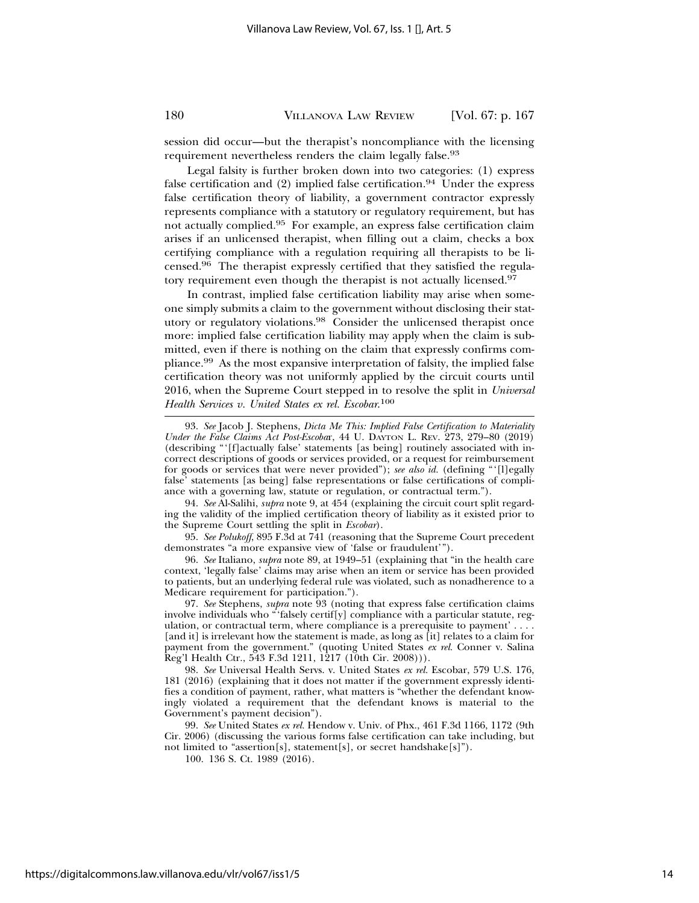session did occur—but the therapist's noncompliance with the licensing requirement nevertheless renders the claim legally false.<sup>93</sup>

Legal falsity is further broken down into two categories: (1) express false certification and  $(2)$  implied false certification.<sup>94</sup> Under the express false certification theory of liability, a government contractor expressly represents compliance with a statutory or regulatory requirement, but has not actually complied.95 For example, an express false certification claim arises if an unlicensed therapist, when filling out a claim, checks a box certifying compliance with a regulation requiring all therapists to be licensed.96 The therapist expressly certified that they satisfied the regulatory requirement even though the therapist is not actually licensed.<sup>97</sup>

In contrast, implied false certification liability may arise when someone simply submits a claim to the government without disclosing their statutory or regulatory violations.98 Consider the unlicensed therapist once more: implied false certification liability may apply when the claim is submitted, even if there is nothing on the claim that expressly confirms compliance.99 As the most expansive interpretation of falsity, the implied false certification theory was not uniformly applied by the circuit courts until 2016, when the Supreme Court stepped in to resolve the split in *Universal Health Services v. United States ex rel. Escobar*. 100

94. *See* Al-Salihi, *supra* note 9, at 454 (explaining the circuit court split regarding the validity of the implied certification theory of liability as it existed prior to the Supreme Court settling the split in *Escobar*).

95. *See Polukoff*, 895 F.3d at 741 (reasoning that the Supreme Court precedent demonstrates "a more expansive view of 'false or fraudulent'").

96. *See* Italiano, *supra* note 89, at 1949–51 (explaining that "in the health care context, 'legally false' claims may arise when an item or service has been provided to patients, but an underlying federal rule was violated, such as nonadherence to a Medicare requirement for participation.").

97. *See* Stephens, *supra* note 93 (noting that express false certification claims involve individuals who "'falsely certif[y] compliance with a particular statute, regulation, or contractual term, where compliance is a prerequisite to payment' . . . . [and it] is irrelevant how the statement is made, as long as [it] relates to a claim for payment from the government." (quoting United States *ex rel.* Conner v. Salina Reg'l Health Ctr., 543 F.3d 1211, 1217 (10th Cir. 2008))).

98. *See* Universal Health Servs. v. United States *ex rel.* Escobar, 579 U.S. 176, 181 (2016) (explaining that it does not matter if the government expressly identifies a condition of payment, rather, what matters is "whether the defendant knowingly violated a requirement that the defendant knows is material to the Government's payment decision").

99. *See* United States *ex rel.* Hendow v. Univ. of Phx., 461 F.3d 1166, 1172 (9th Cir. 2006) (discussing the various forms false certification can take including, but not limited to "assertion[s], statement[s], or secret handshake[s]").

100. 136 S. Ct. 1989 (2016).

<sup>93.</sup> *See* Jacob J. Stephens, *Dicta Me This: Implied False Certification to Materiality Under the False Claims Act Post-Escoba*r, 44 U. DAYTON L. REV. 273, 279–80 (2019) (describing "'[f]actually false' statements [as being] routinely associated with incorrect descriptions of goods or services provided, or a request for reimbursement for goods or services that were never provided"); *see also id.* (defining "'[l]egally false' statements [as being] false representations or false certifications of compliance with a governing law, statute or regulation, or contractual term.").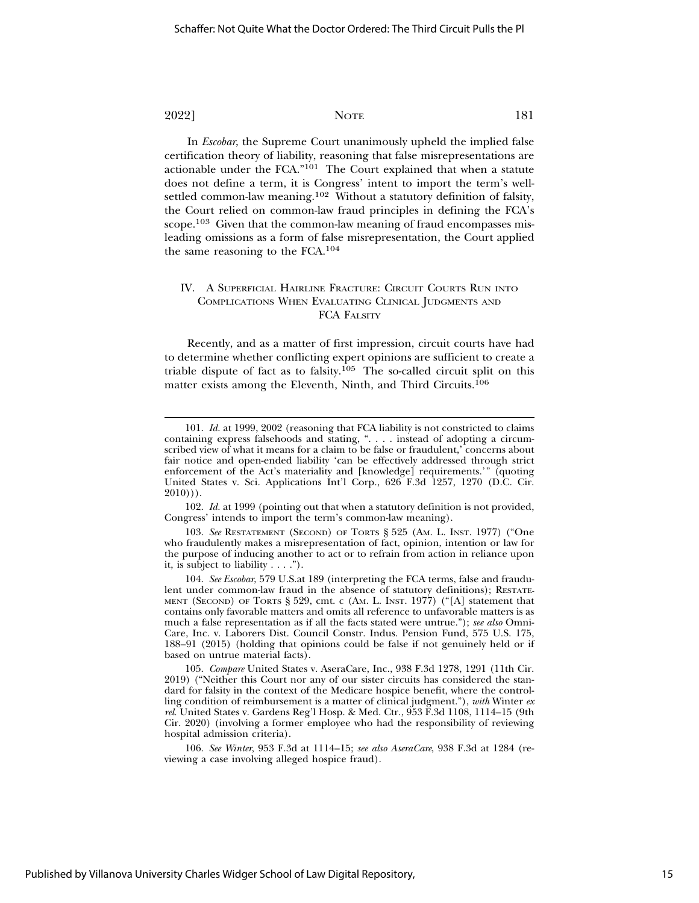In *Escobar*, the Supreme Court unanimously upheld the implied false certification theory of liability, reasoning that false misrepresentations are actionable under the FCA."101 The Court explained that when a statute does not define a term, it is Congress' intent to import the term's wellsettled common-law meaning.102 Without a statutory definition of falsity, the Court relied on common-law fraud principles in defining the FCA's scope.<sup>103</sup> Given that the common-law meaning of fraud encompasses misleading omissions as a form of false misrepresentation, the Court applied the same reasoning to the FCA.104

### IV. A SUPERFICIAL HAIRLINE FRACTURE: CIRCUIT COURTS RUN INTO COMPLICATIONS WHEN EVALUATING CLINICAL JUDGMENTS AND FCA FALSITY

Recently, and as a matter of first impression, circuit courts have had to determine whether conflicting expert opinions are sufficient to create a triable dispute of fact as to falsity.105 The so-called circuit split on this matter exists among the Eleventh, Ninth, and Third Circuits.106

102. *Id.* at 1999 (pointing out that when a statutory definition is not provided, Congress' intends to import the term's common-law meaning).

103. *See* RESTATEMENT (SECOND) OF TORTS § 525 (AM. L. INST. 1977) ("One who fraudulently makes a misrepresentation of fact, opinion, intention or law for the purpose of inducing another to act or to refrain from action in reliance upon it, is subject to liability . . . .").

104. *See Escobar*, 579 U.S.at 189 (interpreting the FCA terms, false and fraudulent under common-law fraud in the absence of statutory definitions); RESTATE-MENT (SECOND) OF TORTS § 529, cmt. c (AM. L. INST. 1977) ("[A] statement that contains only favorable matters and omits all reference to unfavorable matters is as much a false representation as if all the facts stated were untrue."); *see also* Omni-Care, Inc. v. Laborers Dist. Council Constr. Indus. Pension Fund, 575 U.S. 175, 188–91 (2015) (holding that opinions could be false if not genuinely held or if based on untrue material facts).

105. *Compare* United States v. AseraCare, Inc., 938 F.3d 1278, 1291 (11th Cir. 2019) ("Neither this Court nor any of our sister circuits has considered the standard for falsity in the context of the Medicare hospice benefit, where the controlling condition of reimbursement is a matter of clinical judgment."), *with* Winter *ex rel.* United States v. Gardens Reg'l Hosp. & Med. Ctr., 953 F.3d 1108, 1114–15 (9th Cir. 2020) (involving a former employee who had the responsibility of reviewing hospital admission criteria).

106. *See Winter*, 953 F.3d at 1114–15; *see also AseraCare*, 938 F.3d at 1284 (reviewing a case involving alleged hospice fraud).

<sup>101.</sup> *Id.* at 1999, 2002 (reasoning that FCA liability is not constricted to claims containing express falsehoods and stating, ". . . . instead of adopting a circumscribed view of what it means for a claim to be false or fraudulent, concerns about fair notice and open-ended liability 'can be effectively addressed through strict enforcement of the Act's materiality and [knowledge] requirements.'" (quoting United States v. Sci. Applications Int'l Corp., 626 F.3d 1257, 1270 (D.C. Cir.  $2010$ )).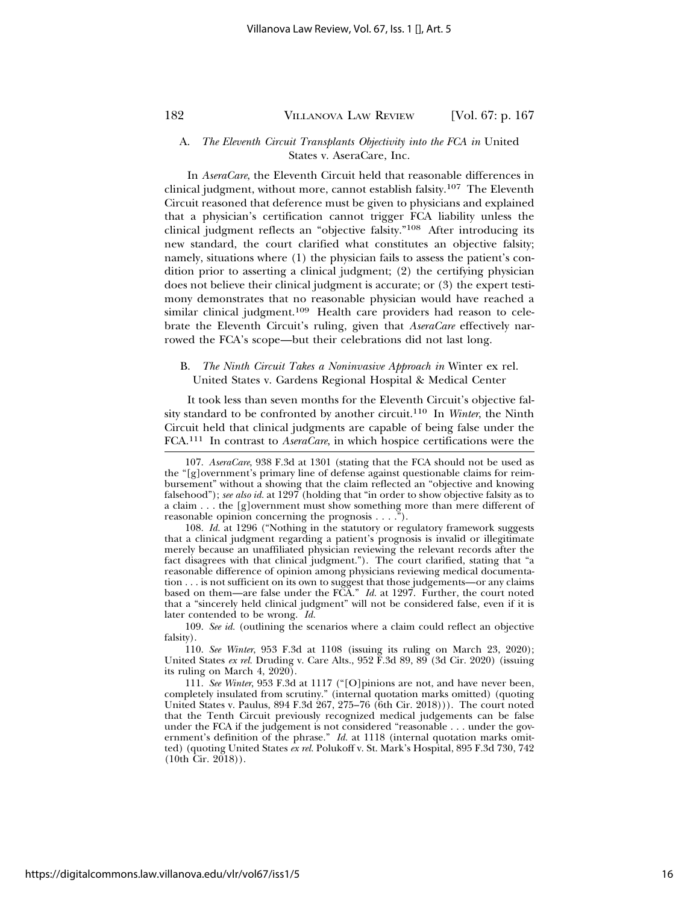### A. *The Eleventh Circuit Transplants Objectivity into the FCA in* United States v. AseraCare, Inc.

In *AseraCare*, the Eleventh Circuit held that reasonable differences in clinical judgment, without more, cannot establish falsity.107 The Eleventh Circuit reasoned that deference must be given to physicians and explained that a physician's certification cannot trigger FCA liability unless the clinical judgment reflects an "objective falsity."108 After introducing its new standard, the court clarified what constitutes an objective falsity; namely, situations where (1) the physician fails to assess the patient's condition prior to asserting a clinical judgment; (2) the certifying physician does not believe their clinical judgment is accurate; or (3) the expert testimony demonstrates that no reasonable physician would have reached a similar clinical judgment.<sup>109</sup> Health care providers had reason to celebrate the Eleventh Circuit's ruling, given that *AseraCare* effectively narrowed the FCA's scope—but their celebrations did not last long.

# B. *The Ninth Circuit Takes a Noninvasive Approach in* Winter ex rel. United States v. Gardens Regional Hospital & Medical Center

It took less than seven months for the Eleventh Circuit's objective falsity standard to be confronted by another circuit.110 In *Winter*, the Ninth Circuit held that clinical judgments are capable of being false under the FCA.111 In contrast to *AseraCare*, in which hospice certifications were the

108. *Id.* at 1296 ("Nothing in the statutory or regulatory framework suggests that a clinical judgment regarding a patient's prognosis is invalid or illegitimate merely because an unaffiliated physician reviewing the relevant records after the fact disagrees with that clinical judgment."). The court clarified, stating that "a reasonable difference of opinion among physicians reviewing medical documentation . . . is not sufficient on its own to suggest that those judgements—or any claims based on them—are false under the FCA." *Id.* at 1297. Further, the court noted that a "sincerely held clinical judgment" will not be considered false, even if it is later contended to be wrong. *Id.*

109. *See id.* (outlining the scenarios where a claim could reflect an objective falsity).

110. *See Winter*, 953 F.3d at 1108 (issuing its ruling on March 23, 2020); United States *ex rel.* Druding v. Care Alts., 952 F.3d 89, 89 (3d Cir. 2020) (issuing its ruling on March 4, 2020).

111. *See Winter*, 953 F.3d at 1117 ("[O]pinions are not, and have never been, completely insulated from scrutiny." (internal quotation marks omitted) (quoting United States v. Paulus, 894 F.3d 267, 275–76 (6th Cir. 2018))). The court noted that the Tenth Circuit previously recognized medical judgements can be false under the FCA if the judgement is not considered "reasonable . . . under the government's definition of the phrase." *Id.* at 1118 (internal quotation marks omitted) (quoting United States *ex rel.* Polukoff v. St. Mark's Hospital, 895 F.3d 730, 742 (10th Cir. 2018)).

<sup>107.</sup> *AseraCare*, 938 F.3d at 1301 (stating that the FCA should not be used as the "[g]overnment's primary line of defense against questionable claims for reimbursement" without a showing that the claim reflected an "objective and knowing falsehood"); *see also id.* at 1297 (holding that "in order to show objective falsity as to a claim . . . the [g]overnment must show something more than mere different of reasonable opinion concerning the prognosis . . . .").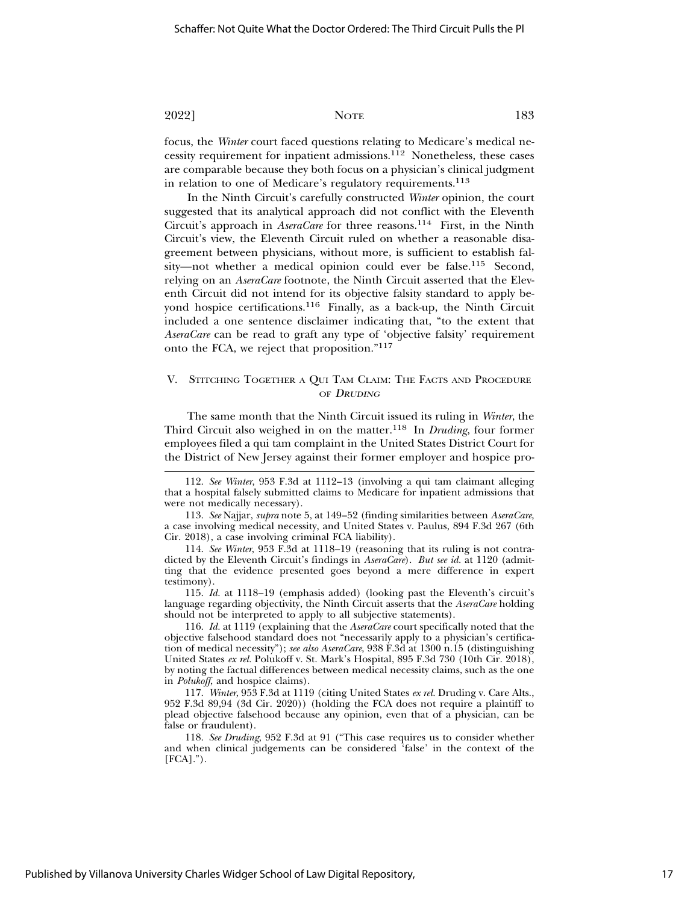focus, the *Winter* court faced questions relating to Medicare's medical necessity requirement for inpatient admissions.112 Nonetheless, these cases are comparable because they both focus on a physician's clinical judgment in relation to one of Medicare's regulatory requirements.<sup>113</sup>

In the Ninth Circuit's carefully constructed *Winter* opinion, the court suggested that its analytical approach did not conflict with the Eleventh Circuit's approach in *AseraCare* for three reasons.<sup>114</sup> First, in the Ninth Circuit's view, the Eleventh Circuit ruled on whether a reasonable disagreement between physicians, without more, is sufficient to establish falsity—not whether a medical opinion could ever be false.115 Second, relying on an *AseraCare* footnote, the Ninth Circuit asserted that the Eleventh Circuit did not intend for its objective falsity standard to apply beyond hospice certifications.116 Finally, as a back-up, the Ninth Circuit included a one sentence disclaimer indicating that, "to the extent that *AseraCare* can be read to graft any type of 'objective falsity' requirement onto the FCA, we reject that proposition."117

### V. STITCHING TOGETHER A QUI TAM CLAIM: THE FACTS AND PROCEDURE OF DRUDING

The same month that the Ninth Circuit issued its ruling in *Winter*, the Third Circuit also weighed in on the matter.118 In *Druding*, four former employees filed a qui tam complaint in the United States District Court for the District of New Jersey against their former employer and hospice pro-

<sup>112.</sup> *See Winter*, 953 F.3d at 1112–13 (involving a qui tam claimant alleging that a hospital falsely submitted claims to Medicare for inpatient admissions that were not medically necessary).

<sup>113.</sup> *See* Najjar, *supra* note 5, at 149–52 (finding similarities between *AseraCare*, a case involving medical necessity, and United States v. Paulus, 894 F.3d 267 (6th Cir. 2018), a case involving criminal FCA liability).

<sup>114.</sup> *See Winter*, 953 F.3d at 1118–19 (reasoning that its ruling is not contradicted by the Eleventh Circuit's findings in *AseraCare*). *But see id.* at 1120 (admitting that the evidence presented goes beyond a mere difference in expert testimony).

<sup>115.</sup> *Id.* at 1118–19 (emphasis added) (looking past the Eleventh's circuit's language regarding objectivity, the Ninth Circuit asserts that the *AseraCare* holding should not be interpreted to apply to all subjective statements).

<sup>116.</sup> *Id.* at 1119 (explaining that the *AseraCare* court specifically noted that the objective falsehood standard does not "necessarily apply to a physician's certification of medical necessity"); *see also AseraCare*, 938 F.3d at 1300 n.15 (distinguishing United States *ex rel.* Polukoff v. St. Mark's Hospital, 895 F.3d 730 (10th Cir. 2018), by noting the factual differences between medical necessity claims, such as the one in *Polukoff*, and hospice claims).

<sup>117.</sup> *Winter*, 953 F.3d at 1119 (citing United States *ex rel.* Druding v. Care Alts., 952 F.3d 89,94 (3d Cir. 2020)) (holding the FCA does not require a plaintiff to plead objective falsehood because any opinion, even that of a physician, can be false or fraudulent).

<sup>118.</sup> *See Druding*, 952 F.3d at 91 ("This case requires us to consider whether and when clinical judgements can be considered 'false' in the context of the  $[{\rm FCA}]$ .").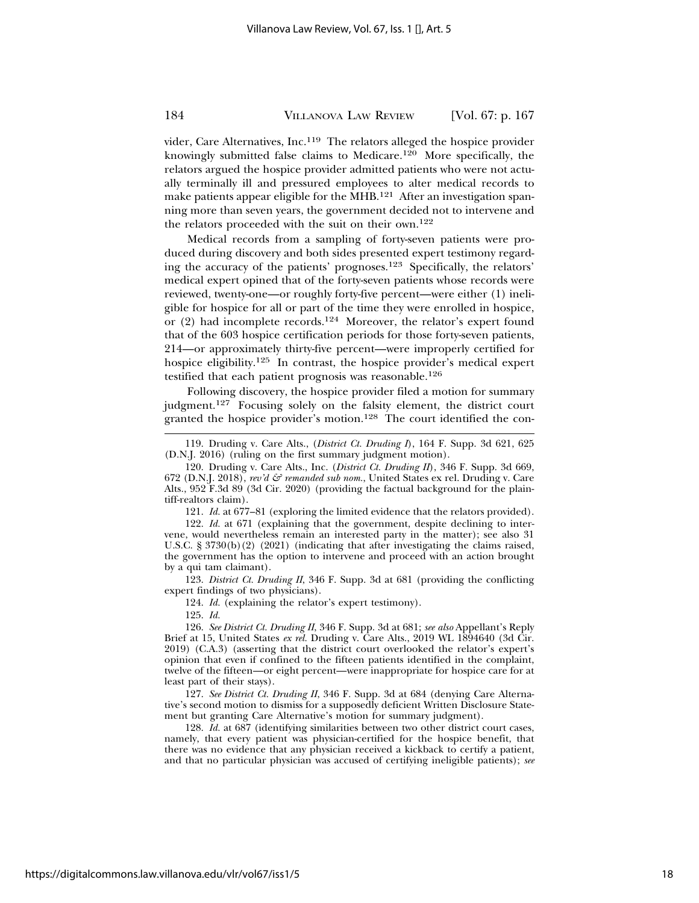vider, Care Alternatives, Inc.<sup>119</sup> The relators alleged the hospice provider knowingly submitted false claims to Medicare.120 More specifically, the relators argued the hospice provider admitted patients who were not actually terminally ill and pressured employees to alter medical records to make patients appear eligible for the MHB.121 After an investigation spanning more than seven years, the government decided not to intervene and the relators proceeded with the suit on their own.122

Medical records from a sampling of forty-seven patients were produced during discovery and both sides presented expert testimony regarding the accuracy of the patients' prognoses.123 Specifically, the relators' medical expert opined that of the forty-seven patients whose records were reviewed, twenty-one—or roughly forty-five percent—were either (1) ineligible for hospice for all or part of the time they were enrolled in hospice, or (2) had incomplete records.124 Moreover, the relator's expert found that of the 603 hospice certification periods for those forty-seven patients, 214—or approximately thirty-five percent—were improperly certified for hospice eligibility.125 In contrast, the hospice provider's medical expert testified that each patient prognosis was reasonable.<sup>126</sup>

Following discovery, the hospice provider filed a motion for summary judgment.127 Focusing solely on the falsity element, the district court granted the hospice provider's motion.128 The court identified the con-

121. *Id.* at 677–81 (exploring the limited evidence that the relators provided).

122. *Id.* at 671 (explaining that the government, despite declining to intervene, would nevertheless remain an interested party in the matter); see also 31 U.S.C. § 3730(b)(2) (2021) (indicating that after investigating the claims raised, the government has the option to intervene and proceed with an action brought by a qui tam claimant).

123. *District Ct. Druding II*, 346 F. Supp. 3d at 681 (providing the conflicting expert findings of two physicians).

124. *Id.* (explaining the relator's expert testimony).

125. *Id.*

126. *See District Ct. Druding II*, 346 F. Supp. 3d at 681; *see also* Appellant's Reply Brief at 15, United States ex rel. Druding v. Care Alts., 2019 WL 1894640 (3d Cir. 2019) (C.A.3) (asserting that the district court overlooked the relator's expert's opinion that even if confined to the fifteen patients identified in the complaint, twelve of the fifteen—or eight percent—were inappropriate for hospice care for at least part of their stays).

127. *See District Ct. Druding II*, 346 F. Supp. 3d at 684 (denying Care Alternative's second motion to dismiss for a supposedly deficient Written Disclosure Statement but granting Care Alternative's motion for summary judgment).

128. *Id.* at 687 (identifying similarities between two other district court cases, namely, that every patient was physician-certified for the hospice benefit, that there was no evidence that any physician received a kickback to certify a patient, and that no particular physician was accused of certifying ineligible patients); *see*

<sup>119.</sup> Druding v. Care Alts., (*District Ct. Druding I*), 164 F. Supp. 3d 621, 625 (D.N.J. 2016) (ruling on the first summary judgment motion).

<sup>120.</sup> Druding v. Care Alts., Inc. (*District Ct. Druding II*), 346 F. Supp. 3d 669, 672 (D.N.J. 2018), *rev'd*  $\mathcal{F}$  *remanded sub nom.*, United States ex rel. Druding v. Care Alts., 952 F.3d 89 (3d Cir. 2020) (providing the factual background for the plaintiff-realtors claim).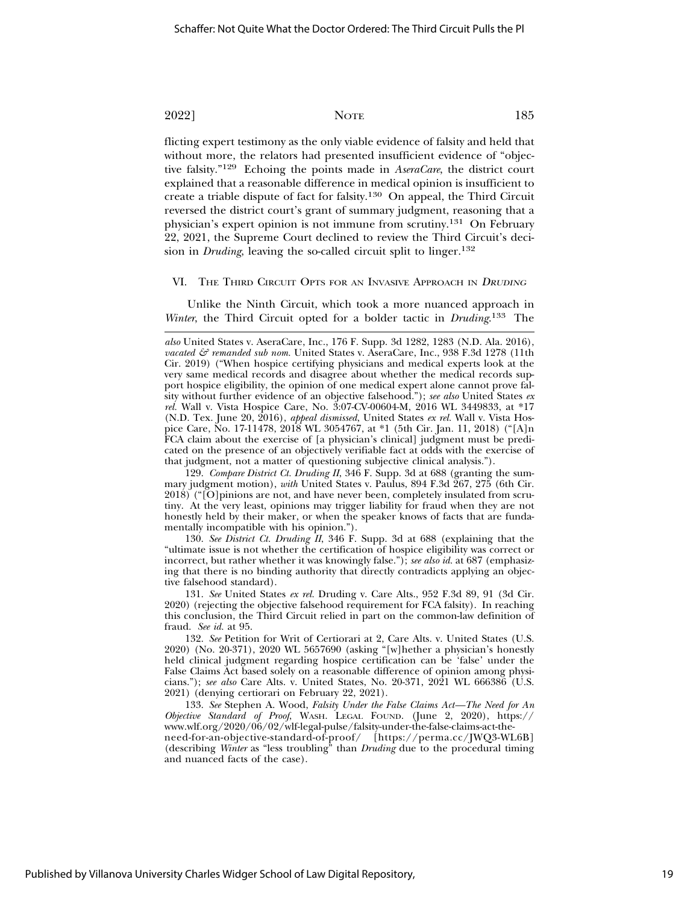flicting expert testimony as the only viable evidence of falsity and held that without more, the relators had presented insufficient evidence of "objective falsity."129 Echoing the points made in *AseraCare*, the district court explained that a reasonable difference in medical opinion is insufficient to create a triable dispute of fact for falsity.130 On appeal, the Third Circuit reversed the district court's grant of summary judgment, reasoning that a physician's expert opinion is not immune from scrutiny.131 On February 22, 2021, the Supreme Court declined to review the Third Circuit's decision in *Druding*, leaving the so-called circuit split to linger.<sup>132</sup>

#### VI. THE THIRD CIRCUIT OPTS FOR AN INVASIVE APPROACH IN DRUDING

Unlike the Ninth Circuit, which took a more nuanced approach in *Winter*, the Third Circuit opted for a bolder tactic in *Druding*. 133 The

129. *Compare District Ct. Druding II*, 346 F. Supp. 3d at 688 (granting the summary judgment motion), *with* United States v. Paulus, 894 F.3d 267, 275 (6th Cir. 2018) ("[O]pinions are not, and have never been, completely insulated from scrutiny. At the very least, opinions may trigger liability for fraud when they are not honestly held by their maker, or when the speaker knows of facts that are fundamentally incompatible with his opinion.").

130. *See District Ct. Druding II*, 346 F. Supp. 3d at 688 (explaining that the "ultimate issue is not whether the certification of hospice eligibility was correct or incorrect, but rather whether it was knowingly false."); *see also id.* at 687 (emphasizing that there is no binding authority that directly contradicts applying an objective falsehood standard).

131. *See* United States *ex rel.* Druding v. Care Alts., 952 F.3d 89, 91 (3d Cir. 2020) (rejecting the objective falsehood requirement for FCA falsity). In reaching this conclusion, the Third Circuit relied in part on the common-law definition of fraud. *See id.* at 95.

132. *See* Petition for Writ of Certiorari at 2, Care Alts. v. United States (U.S. 2020) (No. 20-371), 2020 WL 5657690 (asking "[w]hether a physician's honestly held clinical judgment regarding hospice certification can be 'false' under the False Claims Act based solely on a reasonable difference of opinion among physicians."); *see also* Care Alts. v. United States, No. 20-371, 2021 WL 666386 (U.S. 2021) (denying certiorari on February 22, 2021).

133. *See* Stephen A. Wood, *Falsity Under the False Claims Act—The Need for An Objective Standard of Proof*, WASH. LEGAL FOUND. (June 2, 2020), https:// www.wlf.org/2020/06/02/wlf-legal-pulse/falsity-under-the-false-claims-act-theneed-for-an-objective-standard-of-proof/ [https://perma.cc/JWQ3-WL6B]

(describing *Winter* as "less troubling" than *Druding* due to the procedural timing and nuanced facts of the case).

*also* United States v. AseraCare, Inc., 176 F. Supp. 3d 1282, 1283 (N.D. Ala. 2016), *vacated & remanded sub nom.* United States v. AseraCare, Inc., 938 F.3d 1278 (11th Cir. 2019) ("When hospice certifying physicians and medical experts look at the very same medical records and disagree about whether the medical records support hospice eligibility, the opinion of one medical expert alone cannot prove falsity without further evidence of an objective falsehood."); *see also* United States *ex rel.* Wall v. Vista Hospice Care, No. 3:07-CV-00604-M, 2016 WL 3449833, at \*17 (N.D. Tex. June 20, 2016), *appeal dismissed*, United States *ex rel.* Wall v. Vista Hospice Care, No. 17-11478, 2018 WL 3054767, at \*1 (5th Cir. Jan. 11, 2018) ("[A]n FCA claim about the exercise of [a physician's clinical] judgment must be predicated on the presence of an objectively verifiable fact at odds with the exercise of that judgment, not a matter of questioning subjective clinical analysis.").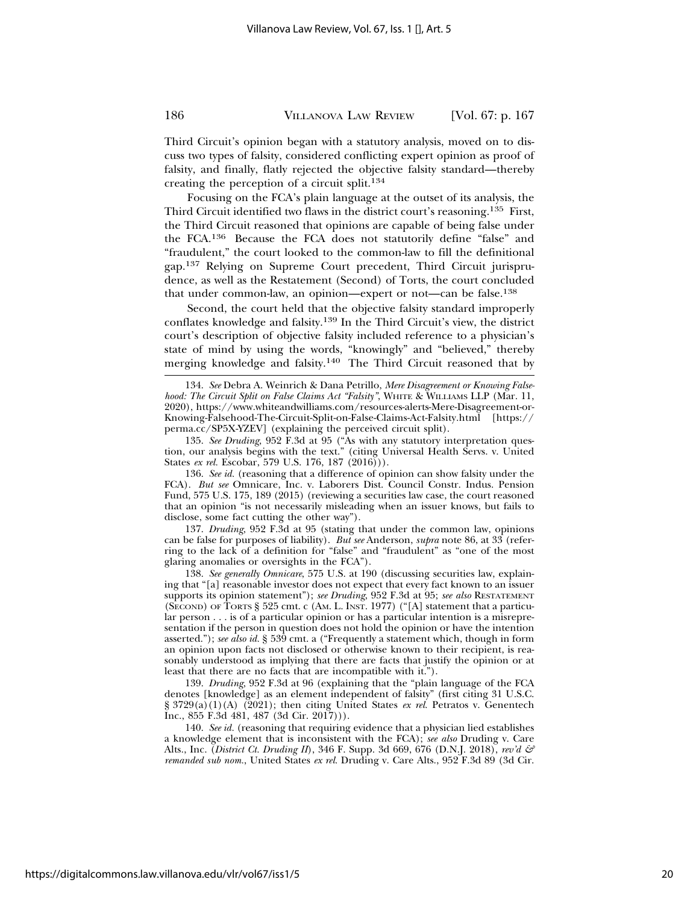Third Circuit's opinion began with a statutory analysis, moved on to discuss two types of falsity, considered conflicting expert opinion as proof of falsity, and finally, flatly rejected the objective falsity standard—thereby creating the perception of a circuit split.134

Focusing on the FCA's plain language at the outset of its analysis, the Third Circuit identified two flaws in the district court's reasoning.135 First, the Third Circuit reasoned that opinions are capable of being false under the FCA.136 Because the FCA does not statutorily define "false" and "fraudulent," the court looked to the common-law to fill the definitional gap.137 Relying on Supreme Court precedent, Third Circuit jurisprudence, as well as the Restatement (Second) of Torts, the court concluded that under common-law, an opinion—expert or not—can be false.138

Second, the court held that the objective falsity standard improperly conflates knowledge and falsity.139 In the Third Circuit's view, the district court's description of objective falsity included reference to a physician's state of mind by using the words, "knowingly" and "believed," thereby merging knowledge and falsity.140 The Third Circuit reasoned that by

135. *See Druding*, 952 F.3d at 95 ("As with any statutory interpretation question, our analysis begins with the text." (citing Universal Health Servs. v. United States *ex rel.* Escobar, 579 U.S. 176, 187 (2016))).

136. *See id.* (reasoning that a difference of opinion can show falsity under the FCA). *But see* Omnicare, Inc. v. Laborers Dist. Council Constr. Indus. Pension Fund, 575 U.S. 175, 189 (2015) (reviewing a securities law case, the court reasoned that an opinion "is not necessarily misleading when an issuer knows, but fails to disclose, some fact cutting the other way").

137. *Druding*, 952 F.3d at 95 (stating that under the common law, opinions can be false for purposes of liability). *But see* Anderson, *supra* note 86, at 33 (referring to the lack of a definition for "false" and "fraudulent" as "one of the most glaring anomalies or oversights in the FCA").

138. *See generally Omnicare*, 575 U.S. at 190 (discussing securities law, explaining that "[a] reasonable investor does not expect that every fact known to an issuer supports its opinion statement"); *see Druding*, 952 F.3d at 95; *see also* RESTATEMENT  $(S<sub>ECOND</sub>)$  or TORTS § 525 cmt. c (AM. L. INST. 1977) ("[A] statement that a particular person . . . is of a particular opinion or has a particular intention is a misrepresentation if the person in question does not hold the opinion or have the intention asserted."); *see also id.* § 539 cmt. a ("Frequently a statement which, though in form an opinion upon facts not disclosed or otherwise known to their recipient, is reasonably understood as implying that there are facts that justify the opinion or at least that there are no facts that are incompatible with it.").

139. *Druding*, 952 F.3d at 96 (explaining that the "plain language of the FCA denotes [knowledge] as an element independent of falsity" (first citing 31 U.S.C. § 3729(a)(1)(A) (2021); then citing United States *ex rel*. Petratos v. Genentech Inc., 855 F.3d 481, 487 (3d Cir. 2017))).

140. *See id.* (reasoning that requiring evidence that a physician lied establishes a knowledge element that is inconsistent with the FCA); *see also* Druding v. Care Alts., Inc. (*District Ct. Druding II*), 346 F. Supp. 3d 669, 676 (D.N.J. 2018), *rev'd & remanded sub nom.*, United States *ex rel.* Druding v. Care Alts., 952 F.3d 89 (3d Cir.

<sup>134.</sup> *See* Debra A. Weinrich & Dana Petrillo, *Mere Disagreement or Knowing Falsehood: The Circuit Split on False Claims Act "Falsity"*, WHITE & WILLIAMS LLP (Mar. 11, 2020), https://www.whiteandwilliams.com/resources-alerts-Mere-Disagreement-or-Knowing-Falsehood-The-Circuit-Split-on-False-Claims-Act-Falsity.html [https:// perma.cc/SP5X-YZEV] (explaining the perceived circuit split).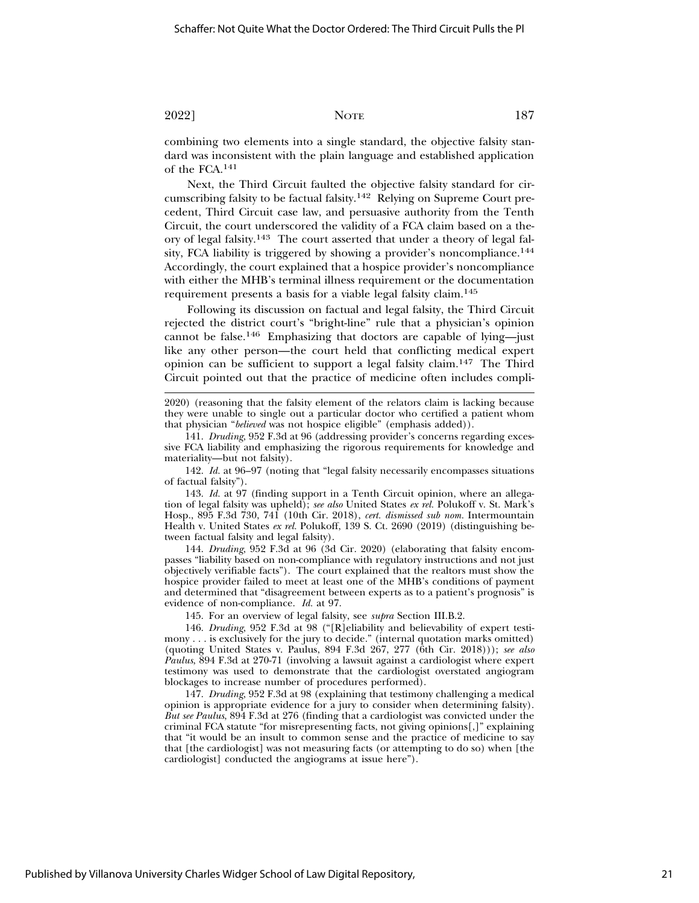combining two elements into a single standard, the objective falsity standard was inconsistent with the plain language and established application of the FCA.141

Next, the Third Circuit faulted the objective falsity standard for circumscribing falsity to be factual falsity.142 Relying on Supreme Court precedent, Third Circuit case law, and persuasive authority from the Tenth Circuit, the court underscored the validity of a FCA claim based on a theory of legal falsity.143 The court asserted that under a theory of legal falsity, FCA liability is triggered by showing a provider's noncompliance.<sup>144</sup> Accordingly, the court explained that a hospice provider's noncompliance with either the MHB's terminal illness requirement or the documentation requirement presents a basis for a viable legal falsity claim.145

Following its discussion on factual and legal falsity, the Third Circuit rejected the district court's "bright-line" rule that a physician's opinion cannot be false.<sup>146</sup> Emphasizing that doctors are capable of lying-just like any other person—the court held that conflicting medical expert opinion can be sufficient to support a legal falsity claim.147 The Third Circuit pointed out that the practice of medicine often includes compli-

2020) (reasoning that the falsity element of the relators claim is lacking because they were unable to single out a particular doctor who certified a patient whom that physician "*believed* was not hospice eligible" (emphasis added)).

141. *Druding*, 952 F.3d at 96 (addressing provider's concerns regarding excessive FCA liability and emphasizing the rigorous requirements for knowledge and materiality—but not falsity).

142. *Id.* at 96–97 (noting that "legal falsity necessarily encompasses situations of factual falsity").

143. *Id.* at 97 (finding support in a Tenth Circuit opinion, where an allegation of legal falsity was upheld); *see also* United States *ex rel.* Polukoff v. St. Mark's Hosp., 895 F.3d 730, 741 (10th Cir. 2018), *cert. dismissed sub nom.* Intermountain Health v. United States *ex rel.* Polukoff, 139 S. Ct. 2690 (2019) (distinguishing between factual falsity and legal falsity).

144. *Druding*, 952 F.3d at 96 (3d Cir. 2020) (elaborating that falsity encompasses "liability based on non-compliance with regulatory instructions and not just objectively verifiable facts"). The court explained that the realtors must show the hospice provider failed to meet at least one of the MHB's conditions of payment and determined that "disagreement between experts as to a patient's prognosis" is evidence of non-compliance. *Id.* at 97.

145. For an overview of legal falsity, see *supra* Section III.B.2.

146. *Druding*, 952 F.3d at 98 ("[R]eliability and believability of expert testimony . . . is exclusively for the jury to decide." (internal quotation marks omitted) (quoting United States v. Paulus, 894 F.3d 267, 277 (6th Cir. 2018))); *see also Paulus*, 894 F.3d at 270-71 (involving a lawsuit against a cardiologist where expert testimony was used to demonstrate that the cardiologist overstated angiogram blockages to increase number of procedures performed).

147. *Druding*, 952 F.3d at 98 (explaining that testimony challenging a medical opinion is appropriate evidence for a jury to consider when determining falsity). *But see Paulus*, 894 F.3d at 276 (finding that a cardiologist was convicted under the criminal FCA statute "for misrepresenting facts, not giving opinions[,]" explaining that "it would be an insult to common sense and the practice of medicine to say that [the cardiologist] was not measuring facts (or attempting to do so) when [the cardiologist] conducted the angiograms at issue here").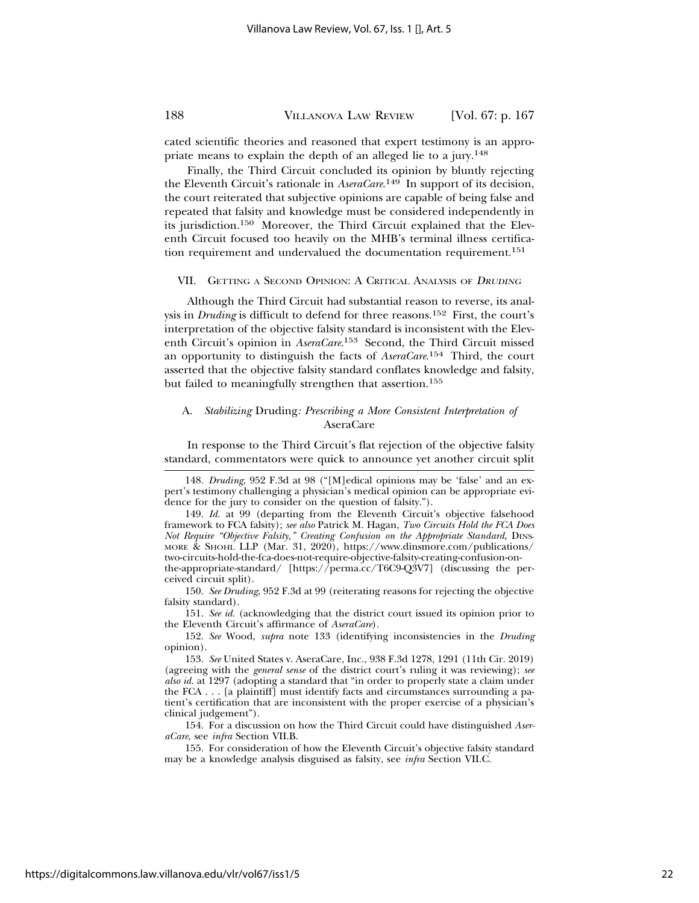cated scientific theories and reasoned that expert testimony is an appropriate means to explain the depth of an alleged lie to a jury.<sup>148</sup>

Finally, the Third Circuit concluded its opinion by bluntly rejecting the Eleventh Circuit's rationale in *AseraCare*. 149 In support of its decision, the court reiterated that subjective opinions are capable of being false and repeated that falsity and knowledge must be considered independently in its jurisdiction.150 Moreover, the Third Circuit explained that the Eleventh Circuit focused too heavily on the MHB's terminal illness certification requirement and undervalued the documentation requirement.151

VII. GETTING A SECOND OPINION: A CRITICAL ANALYSIS OF <sup>D</sup>RUDING

Although the Third Circuit had substantial reason to reverse, its analysis in *Druding* is difficult to defend for three reasons.152 First, the court's interpretation of the objective falsity standard is inconsistent with the Eleventh Circuit's opinion in *AseraCare*. 153 Second, the Third Circuit missed an opportunity to distinguish the facts of *AseraCare*. 154 Third, the court asserted that the objective falsity standard conflates knowledge and falsity, but failed to meaningfully strengthen that assertion.155

### A. *Stabilizing* Druding*: Prescribing a More Consistent Interpretation of* AseraCare

In response to the Third Circuit's flat rejection of the objective falsity standard, commentators were quick to announce yet another circuit split

151. *See id.* (acknowledging that the district court issued its opinion prior to the Eleventh Circuit's affirmance of *AseraCare*).

152. *See* Wood, *supra* note 133 (identifying inconsistencies in the *Druding* opinion).

154. For a discussion on how the Third Circuit could have distinguished *AseraCare*, see *infra* Section VII.B.

155. For consideration of how the Eleventh Circuit's objective falsity standard may be a knowledge analysis disguised as falsity, see *infra* Section VII.C.

<sup>148.</sup> *Druding*, 952 F.3d at 98 ("[M]edical opinions may be 'false' and an expert's testimony challenging a physician's medical opinion can be appropriate evidence for the jury to consider on the question of falsity.").

<sup>149.</sup> *Id.* at 99 (departing from the Eleventh Circuit's objective falsehood framework to FCA falsity); *see also* Patrick M. Hagan, *Two Circuits Hold the FCA Does Not Require "Objective Falsity," Creating Confusion on the Appropriate Standard*, DINS-MORE & SHOHL LLP (Mar. 31, 2020), https://www.dinsmore.com/publications/ two-circuits-hold-the-fca-does-not-require-objective-falsity-creating-confusion-onthe-appropriate-standard/ [https://perma.cc/T6C9-Q3V7] (discussing the perceived circuit split).

<sup>150.</sup> *See Druding*, 952 F.3d at 99 (reiterating reasons for rejecting the objective falsity standard).

<sup>153.</sup> *See* United States v. AseraCare, Inc., 938 F.3d 1278, 1291 (11th Cir. 2019) (agreeing with the *general sense* of the district court's ruling it was reviewing); *see also id.* at 1297 (adopting a standard that "in order to properly state a claim under the FCA  $\ldots$  [a plaintiff] must identify facts and circumstances surrounding a patient's certification that are inconsistent with the proper exercise of a physician's clinical judgement").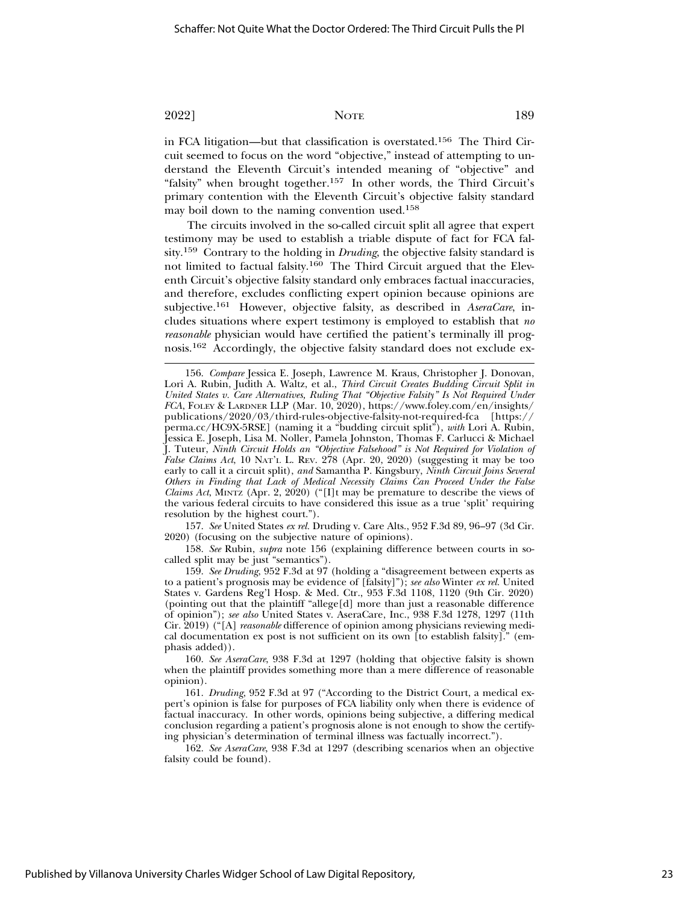in FCA litigation—but that classification is overstated.<sup>156</sup> The Third Circuit seemed to focus on the word "objective," instead of attempting to understand the Eleventh Circuit's intended meaning of "objective" and "falsity" when brought together.<sup>157</sup> In other words, the Third Circuit's primary contention with the Eleventh Circuit's objective falsity standard may boil down to the naming convention used.158

The circuits involved in the so-called circuit split all agree that expert testimony may be used to establish a triable dispute of fact for FCA falsity.159 Contrary to the holding in *Druding*, the objective falsity standard is not limited to factual falsity.160 The Third Circuit argued that the Eleventh Circuit's objective falsity standard only embraces factual inaccuracies, and therefore, excludes conflicting expert opinion because opinions are subjective.161 However, objective falsity, as described in *AseraCare*, includes situations where expert testimony is employed to establish that *no reasonable* physician would have certified the patient's terminally ill prognosis.162 Accordingly, the objective falsity standard does not exclude ex-

157. *See* United States *ex rel.* Druding v. Care Alts., 952 F.3d 89, 96–97 (3d Cir. 2020) (focusing on the subjective nature of opinions).

158. *See* Rubin, *supra* note 156 (explaining difference between courts in socalled split may be just "semantics").

159. *See Druding*, 952 F.3d at 97 (holding a "disagreement between experts as to a patient's prognosis may be evidence of [falsity]"); *see also* Winter *ex rel.* United States v. Gardens Reg'l Hosp. & Med. Ctr., 953 F.3d 1108, 1120 (9th Cir. 2020) (pointing out that the plaintiff "allege[d] more than just a reasonable difference of opinion"); *see also* United States v. AseraCare, Inc., 938 F.3d 1278, 1297 (11th Cir. 2019) ("[A] *reasonable* difference of opinion among physicians reviewing medical documentation ex post is not sufficient on its own [to establish falsity]." (emphasis added)).

160. *See AseraCare*, 938 F.3d at 1297 (holding that objective falsity is shown when the plaintiff provides something more than a mere difference of reasonable opinion).

161. *Druding*, 952 F.3d at 97 ("According to the District Court, a medical expert's opinion is false for purposes of FCA liability only when there is evidence of factual inaccuracy. In other words, opinions being subjective, a differing medical conclusion regarding a patient's prognosis alone is not enough to show the certifying physician's determination of terminal illness was factually incorrect.").

162. *See AseraCare*, 938 F.3d at 1297 (describing scenarios when an objective falsity could be found).

<sup>156.</sup> *Compare* Jessica E. Joseph, Lawrence M. Kraus, Christopher J. Donovan, Lori A. Rubin, Judith A. Waltz, et al., *Third Circuit Creates Budding Circuit Split in United States v. Care Alternatives, Ruling That "Objective Falsity" Is Not Required Under FCA*, FOLEY & LARDNER LLP (Mar. 10, 2020), https://www.foley.com/en/insights/ publications/2020/03/third-rules-objective-falsity-not-required-fca [https:// perma.cc/HC9X-5RSE] (naming it a "budding circuit split"), *with* Lori A. Rubin, Jessica E. Joseph, Lisa M. Noller, Pamela Johnston, Thomas F. Carlucci & Michael J. Tuteur, *Ninth Circuit Holds an "Objective Falsehood" is Not Required for Violation of False Claims Act*, 10 NAT'L L. REV. 278 (Apr. 20, 2020) (suggesting it may be too early to call it a circuit split), *and* Samantha P. Kingsbury, *Ninth Circuit Joins Several Others in Finding that Lack of Medical Necessity Claims Can Proceed Under the False Claims Act*, MINTZ (Apr. 2, 2020) ("[I]t may be premature to describe the views of the various federal circuits to have considered this issue as a true 'split' requiring resolution by the highest court.").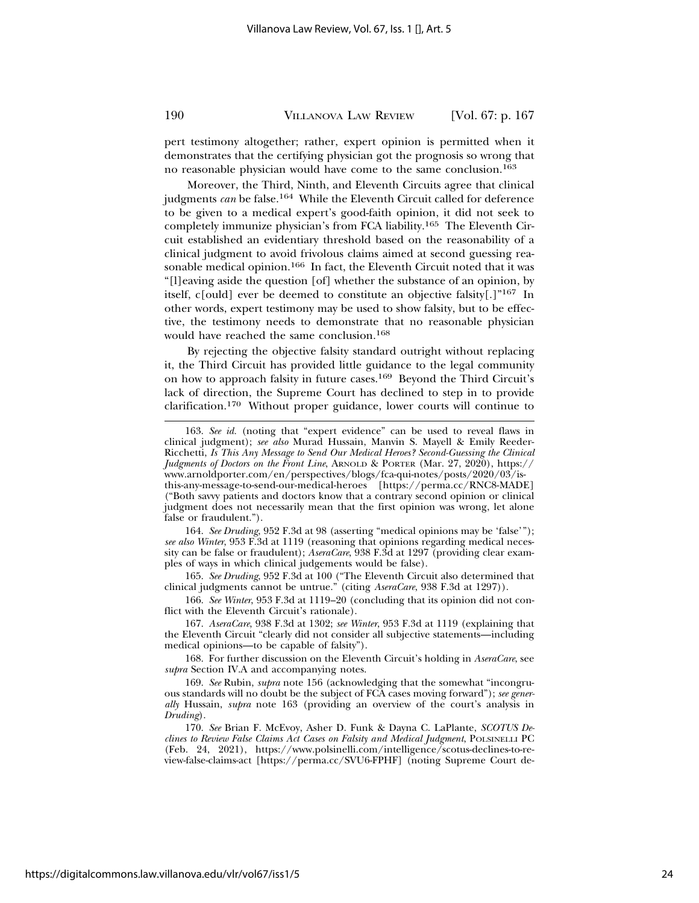pert testimony altogether; rather, expert opinion is permitted when it demonstrates that the certifying physician got the prognosis so wrong that no reasonable physician would have come to the same conclusion.163

Moreover, the Third, Ninth, and Eleventh Circuits agree that clinical judgments *can* be false.<sup>164</sup> While the Eleventh Circuit called for deference to be given to a medical expert's good-faith opinion, it did not seek to completely immunize physician's from FCA liability.165 The Eleventh Circuit established an evidentiary threshold based on the reasonability of a clinical judgment to avoid frivolous claims aimed at second guessing reasonable medical opinion.<sup>166</sup> In fact, the Eleventh Circuit noted that it was "[l]eaving aside the question [of] whether the substance of an opinion, by itself, c[ould] ever be deemed to constitute an objective falsity[.]"167 In other words, expert testimony may be used to show falsity, but to be effective, the testimony needs to demonstrate that no reasonable physician would have reached the same conclusion.168

By rejecting the objective falsity standard outright without replacing it, the Third Circuit has provided little guidance to the legal community on how to approach falsity in future cases.169 Beyond the Third Circuit's lack of direction, the Supreme Court has declined to step in to provide clarification.170 Without proper guidance, lower courts will continue to

164. *See Druding*, 952 F.3d at 98 (asserting "medical opinions may be 'false'"); *see also Winter*, 953 F.3d at 1119 (reasoning that opinions regarding medical necessity can be false or fraudulent); *AseraCare*, 938 F.3d at 1297 (providing clear examples of ways in which clinical judgements would be false).

165. *See Druding*, 952 F.3d at 100 ("The Eleventh Circuit also determined that clinical judgments cannot be untrue." (citing *AseraCare*, 938 F.3d at 1297)).

166. *See Winter*, 953 F.3d at 1119–20 (concluding that its opinion did not conflict with the Eleventh Circuit's rationale).

167. *AseraCare*, 938 F.3d at 1302; *see Winter*, 953 F.3d at 1119 (explaining that the Eleventh Circuit "clearly did not consider all subjective statements—including medical opinions—to be capable of falsity").

168. For further discussion on the Eleventh Circuit's holding in *AseraCare*, see *supra* Section IV.A and accompanying notes.

169. *See* Rubin, *supra* note 156 (acknowledging that the somewhat "incongruous standards will no doubt be the subject of FCA cases moving forward"); *see generally* Hussain, *supra* note 163 (providing an overview of the court's analysis in *Druding*).

170. *See* Brian F. McEvoy, Asher D. Funk & Dayna C. LaPlante, *SCOTUS Declines to Review False Claims Act Cases on Falsity and Medical Judgment*, POLSINELLI PC (Feb. 24, 2021), https://www.polsinelli.com/intelligence/scotus-declines-to-review-false-claims-act [https://perma.cc/SVU6-FPHF] (noting Supreme Court de-

<sup>163.</sup> *See id.* (noting that "expert evidence" can be used to reveal flaws in clinical judgment); *see also* Murad Hussain, Manvin S. Mayell & Emily Reeder-Ricchetti, *Is This Any Message to Send Our Medical Heroes? Second-Guessing the Clinical Judgments of Doctors on the Front Line*, ARNOLD & PORTER (Mar. 27, 2020), https:// www.arnoldporter.com/en/perspectives/blogs/fca-qui-notes/posts/2020/03/isthis-any-message-to-send-our-medical-heroes [https://perma.cc/RNC8-MADE] ("Both savvy patients and doctors know that a contrary second opinion or clinical judgment does not necessarily mean that the first opinion was wrong, let alone false or fraudulent.").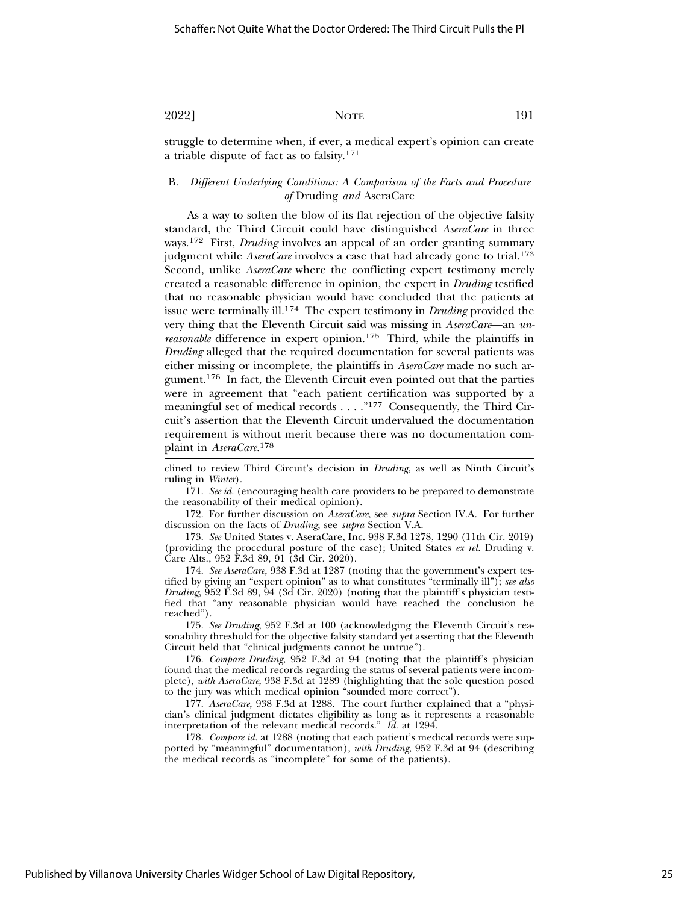struggle to determine when, if ever, a medical expert's opinion can create a triable dispute of fact as to falsity.171

### B. *Different Underlying Conditions: A Comparison of the Facts and Procedure of* Druding *and* AseraCare

As a way to soften the blow of its flat rejection of the objective falsity standard, the Third Circuit could have distinguished *AseraCare* in three ways.172 First, *Druding* involves an appeal of an order granting summary judgment while *AseraCare* involves a case that had already gone to trial.<sup>173</sup> Second, unlike *AseraCare* where the conflicting expert testimony merely created a reasonable difference in opinion, the expert in *Druding* testified that no reasonable physician would have concluded that the patients at issue were terminally ill.174 The expert testimony in *Druding* provided the very thing that the Eleventh Circuit said was missing in *AseraCare*—an *unreasonable* difference in expert opinion.<sup>175</sup> Third, while the plaintiffs in *Druding* alleged that the required documentation for several patients was either missing or incomplete, the plaintiffs in *AseraCare* made no such argument.176 In fact, the Eleventh Circuit even pointed out that the parties were in agreement that "each patient certification was supported by a meaningful set of medical records . . . . "177 Consequently, the Third Circuit's assertion that the Eleventh Circuit undervalued the documentation requirement is without merit because there was no documentation complaint in *AseraCare*. 178

clined to review Third Circuit's decision in *Druding*, as well as Ninth Circuit's ruling in *Winter*).

171. *See id.* (encouraging health care providers to be prepared to demonstrate the reasonability of their medical opinion).

172. For further discussion on *AseraCare*, see *supra* Section IV.A. For further discussion on the facts of *Druding*, see *supra* Section V.A.

173. *See* United States v. AseraCare, Inc. 938 F.3d 1278, 1290 (11th Cir. 2019) (providing the procedural posture of the case); United States *ex rel.* Druding v. Care Alts., 952 F.3d 89, 91 (3d Cir. 2020).

174. *See AseraCare*, 938 F.3d at 1287 (noting that the government's expert testified by giving an "expert opinion" as to what constitutes "terminally ill"); *see also Druding*, 952 F.3d 89, 94 (3d Cir. 2020) (noting that the plaintiff's physician testified that "any reasonable physician would have reached the conclusion he reached").

175. *See Druding*, 952 F.3d at 100 (acknowledging the Eleventh Circuit's reasonability threshold for the objective falsity standard yet asserting that the Eleventh Circuit held that "clinical judgments cannot be untrue").

176. *Compare Druding*, 952 F.3d at 94 (noting that the plaintiff's physician found that the medical records regarding the status of several patients were incomplete), *with AseraCare*, 938 F.3d at 1289 (highlighting that the sole question posed to the jury was which medical opinion "sounded more correct").

177. *AseraCare*, 938 F.3d at 1288. The court further explained that a "physician's clinical judgment dictates eligibility as long as it represents a reasonable interpretation of the relevant medical records." *Id.* at 1294.

178. *Compare id.* at 1288 (noting that each patient's medical records were supported by "meaningful" documentation), *with Druding*, 952 F.3d at 94 (describing the medical records as "incomplete" for some of the patients).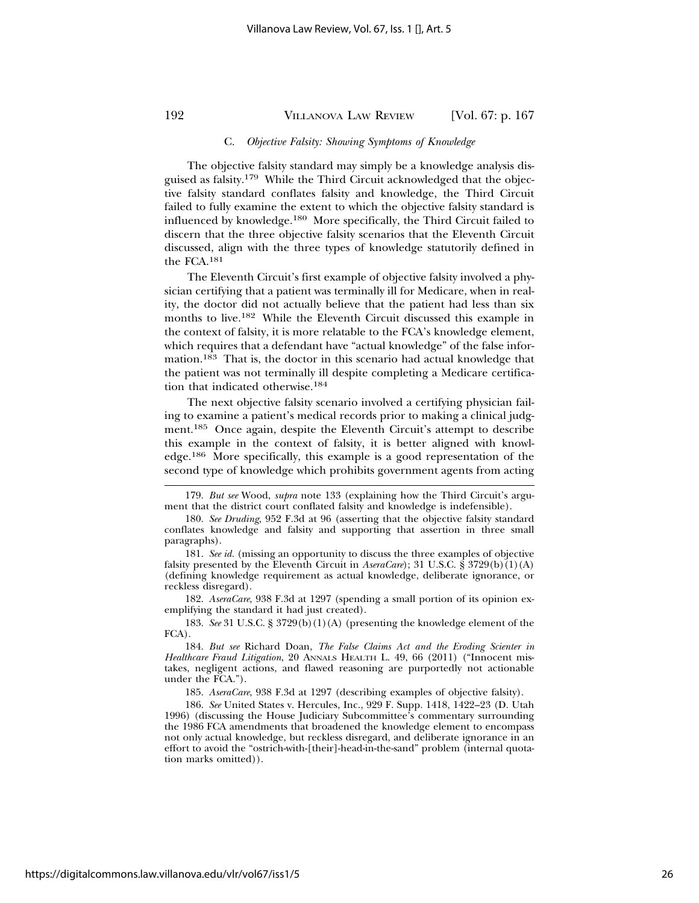#### C. *Objective Falsity: Showing Symptoms of Knowledge*

The objective falsity standard may simply be a knowledge analysis disguised as falsity.179 While the Third Circuit acknowledged that the objective falsity standard conflates falsity and knowledge, the Third Circuit failed to fully examine the extent to which the objective falsity standard is influenced by knowledge.180 More specifically, the Third Circuit failed to discern that the three objective falsity scenarios that the Eleventh Circuit discussed, align with the three types of knowledge statutorily defined in the FCA.181

The Eleventh Circuit's first example of objective falsity involved a physician certifying that a patient was terminally ill for Medicare, when in reality, the doctor did not actually believe that the patient had less than six months to live.182 While the Eleventh Circuit discussed this example in the context of falsity, it is more relatable to the FCA's knowledge element, which requires that a defendant have "actual knowledge" of the false information.183 That is, the doctor in this scenario had actual knowledge that the patient was not terminally ill despite completing a Medicare certification that indicated otherwise.184

The next objective falsity scenario involved a certifying physician failing to examine a patient's medical records prior to making a clinical judgment.185 Once again, despite the Eleventh Circuit's attempt to describe this example in the context of falsity, it is better aligned with knowledge.186 More specifically, this example is a good representation of the second type of knowledge which prohibits government agents from acting

182. *AseraCare*, 938 F.3d at 1297 (spending a small portion of its opinion exemplifying the standard it had just created).

183. *See* 31 U.S.C. § 3729(b)(1)(A) (presenting the knowledge element of the FCA).

185. *AseraCare*, 938 F.3d at 1297 (describing examples of objective falsity).

186. *See* United States v. Hercules, Inc., 929 F. Supp. 1418, 1422–23 (D. Utah 1996) (discussing the House Judiciary Subcommittee's commentary surrounding the 1986 FCA amendments that broadened the knowledge element to encompass not only actual knowledge, but reckless disregard, and deliberate ignorance in an effort to avoid the "ostrich-with-[their]-head-in-the-sand" problem (internal quotation marks omitted)).

<sup>179.</sup> *But see* Wood, *supra* note 133 (explaining how the Third Circuit's argument that the district court conflated falsity and knowledge is indefensible).

<sup>180.</sup> *See Druding*, 952 F.3d at 96 (asserting that the objective falsity standard conflates knowledge and falsity and supporting that assertion in three small paragraphs).

<sup>181.</sup> *See id.* (missing an opportunity to discuss the three examples of objective falsity presented by the Eleventh Circuit in *AseraCare*); 31 U.S.C. § 3729(b)(1)(A) (defining knowledge requirement as actual knowledge, deliberate ignorance, or reckless disregard).

<sup>184.</sup> *But see* Richard Doan, *The False Claims Act and the Eroding Scienter in Healthcare Fraud Litigation*, 20 ANNALS HEALTH L. 49, 66 (2011) ("Innocent mistakes, negligent actions, and flawed reasoning are purportedly not actionable under the FCA.").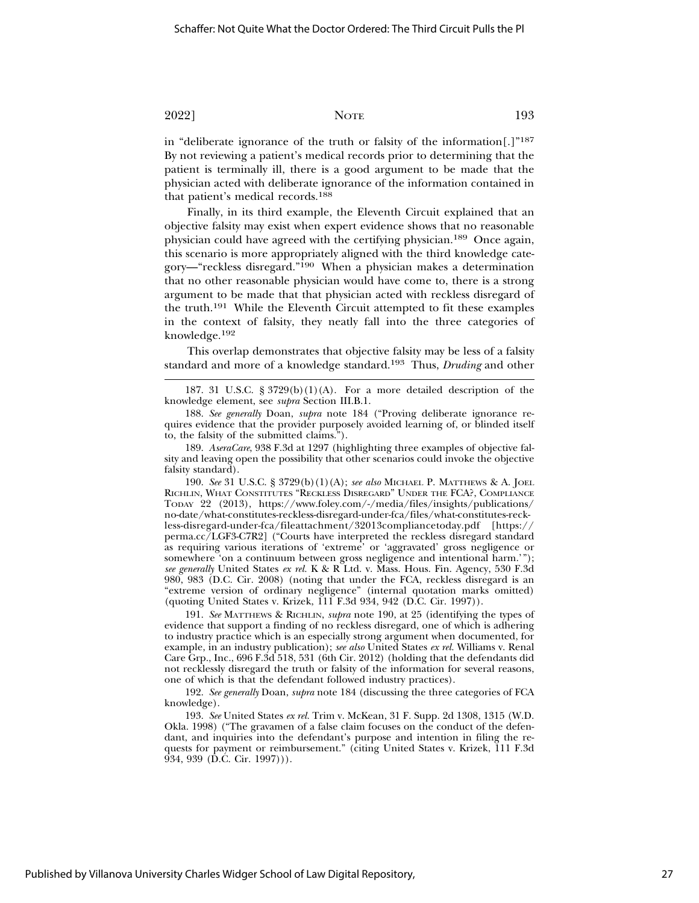in "deliberate ignorance of the truth or falsity of the information[.]"187 By not reviewing a patient's medical records prior to determining that the patient is terminally ill, there is a good argument to be made that the physician acted with deliberate ignorance of the information contained in that patient's medical records.188

Finally, in its third example, the Eleventh Circuit explained that an objective falsity may exist when expert evidence shows that no reasonable physician could have agreed with the certifying physician.189 Once again, this scenario is more appropriately aligned with the third knowledge category—"reckless disregard."190 When a physician makes a determination that no other reasonable physician would have come to, there is a strong argument to be made that that physician acted with reckless disregard of the truth.191 While the Eleventh Circuit attempted to fit these examples in the context of falsity, they neatly fall into the three categories of knowledge.<sup>192</sup>

This overlap demonstrates that objective falsity may be less of a falsity standard and more of a knowledge standard.193 Thus, *Druding* and other

190. *See* 31 U.S.C. § 3729(b)(1)(A); *see also* MICHAEL P. MATTHEWS & A. JOEL RICHLIN, WHAT CONSTITUTES "RECKLESS DISREGARD" UNDER THE FCA?, COMPLIANCE TODAY 22 (2013), https://www.foley.com/-/media/files/insights/publications/ no-date/what-constitutes-reckless-disregard-under-fca/files/what-constitutes-reckless-disregard-under-fca/fileattachment/32013compliancetoday.pdf [https:// perma.cc/LGF3-C7R2] ("Courts have interpreted the reckless disregard standard as requiring various iterations of 'extreme' or 'aggravated' gross negligence or somewhere 'on a continuum between gross negligence and intentional harm.' *see generally* United States *ex rel.* K & R Ltd. v. Mass. Hous. Fin. Agency, 530 F.3d 980, 983 (D.C. Cir. 2008) (noting that under the FCA, reckless disregard is an "extreme version of ordinary negligence" (internal quotation marks omitted) (quoting United States v. Krizek, 111 F.3d 934, 942 (D.C. Cir. 1997)).

191. *See* MATTHEWS & RICHLIN, *supra* note 190, at 25 (identifying the types of evidence that support a finding of no reckless disregard, one of which is adhering to industry practice which is an especially strong argument when documented, for example, in an industry publication); *see also* United States *ex rel.* Williams v. Renal Care Grp., Inc., 696 F.3d 518, 531 (6th Cir. 2012) (holding that the defendants did not recklessly disregard the truth or falsity of the information for several reasons, one of which is that the defendant followed industry practices).

192. *See generally* Doan, *supra* note 184 (discussing the three categories of FCA knowledge).

193. *See* United States *ex rel.* Trim v. McKean, 31 F. Supp. 2d 1308, 1315 (W.D. Okla. 1998) ("The gravamen of a false claim focuses on the conduct of the defendant, and inquiries into the defendant's purpose and intention in filing the requests for payment or reimbursement." (citing United States v. Krizek, 111 F.3d 934, 939 (D.C. Cir. 1997))).

<sup>187. 31</sup> U.S.C.  $\S 3729(b)(1)(A)$ . For a more detailed description of the knowledge element, see *supra* Section III.B.1.

<sup>188.</sup> *See generally* Doan, *supra* note 184 ("Proving deliberate ignorance requires evidence that the provider purposely avoided learning of, or blinded itself to, the falsity of the submitted claims.").

<sup>189.</sup> *AseraCare*, 938 F.3d at 1297 (highlighting three examples of objective falsity and leaving open the possibility that other scenarios could invoke the objective falsity standard).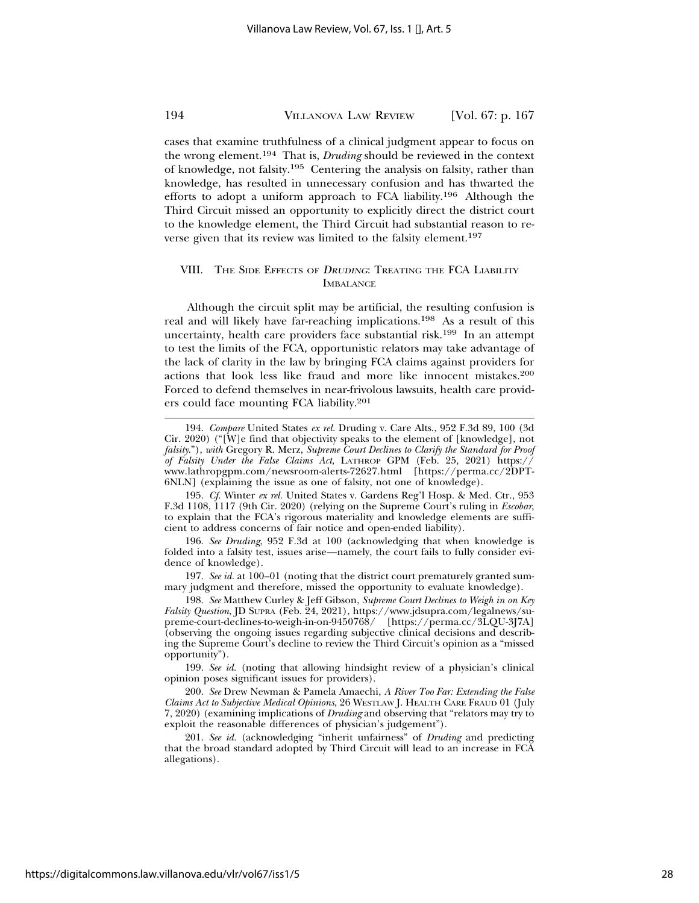cases that examine truthfulness of a clinical judgment appear to focus on the wrong element.194 That is, *Druding* should be reviewed in the context of knowledge, not falsity.195 Centering the analysis on falsity, rather than knowledge, has resulted in unnecessary confusion and has thwarted the efforts to adopt a uniform approach to FCA liability.196 Although the Third Circuit missed an opportunity to explicitly direct the district court to the knowledge element, the Third Circuit had substantial reason to reverse given that its review was limited to the falsity element.197

### VIII. THE SIDE EFFECTS OF DRUDING: TREATING THE FCA LIABILITY **IMBALANCE**

Although the circuit split may be artificial, the resulting confusion is real and will likely have far-reaching implications.198 As a result of this uncertainty, health care providers face substantial risk.199 In an attempt to test the limits of the FCA, opportunistic relators may take advantage of the lack of clarity in the law by bringing FCA claims against providers for actions that look less like fraud and more like innocent mistakes.200 Forced to defend themselves in near-frivolous lawsuits, health care providers could face mounting FCA liability.201

195. *Cf.* Winter *ex rel.* United States v. Gardens Reg'l Hosp. & Med. Ctr., 953 F.3d 1108, 1117 (9th Cir. 2020) (relying on the Supreme Court's ruling in *Escobar*, to explain that the FCA's rigorous materiality and knowledge elements are sufficient to address concerns of fair notice and open-ended liability).

196. *See Druding*, 952 F.3d at 100 (acknowledging that when knowledge is folded into a falsity test, issues arise—namely, the court fails to fully consider evidence of knowledge).

197. *See id.* at 100–01 (noting that the district court prematurely granted summary judgment and therefore, missed the opportunity to evaluate knowledge).

198. *See* Matthew Curley & Jeff Gibson, *Supreme Court Declines to Weigh in on Key Falsity Question*, JD SUPRA (Feb. 24, 2021), https://www.jdsupra.com/legalnews/supreme-court-declines-to-weigh-in-on-9450768/ [https://perma.cc/3LQU-3J7A] (observing the ongoing issues regarding subjective clinical decisions and describing the Supreme Court's decline to review the Third Circuit's opinion as a "missed opportunity").

199. *See id.* (noting that allowing hindsight review of a physician's clinical opinion poses significant issues for providers).

200. *See* Drew Newman & Pamela Amaechi, *A River Too Far: Extending the False Claims Act to Subjective Medical Opinions*, 26 WESTLAW J. HEALTH CARE FRAUD 01 (July 7, 2020) (examining implications of *Druding* and observing that "relators may try to exploit the reasonable differences of physician's judgement").

201. *See id.* (acknowledging "inherit unfairness" of *Druding* and predicting that the broad standard adopted by Third Circuit will lead to an increase in FCA allegations).

<sup>194.</sup> *Compare* United States *ex rel.* Druding v. Care Alts., 952 F.3d 89, 100 (3d Cir. 2020) ("[W]e find that objectivity speaks to the element of [knowledge], not *falsity*."), *with* Gregory R. Merz, *Supreme Court Declines to Clarify the Standard for Proof of Falsity Under the False Claims Act*, LATHROP GPM (Feb. 25, 2021) https:// www.lathropgpm.com/newsroom-alerts-72627.html [https://perma.cc/2DPT-6NLN] (explaining the issue as one of falsity, not one of knowledge).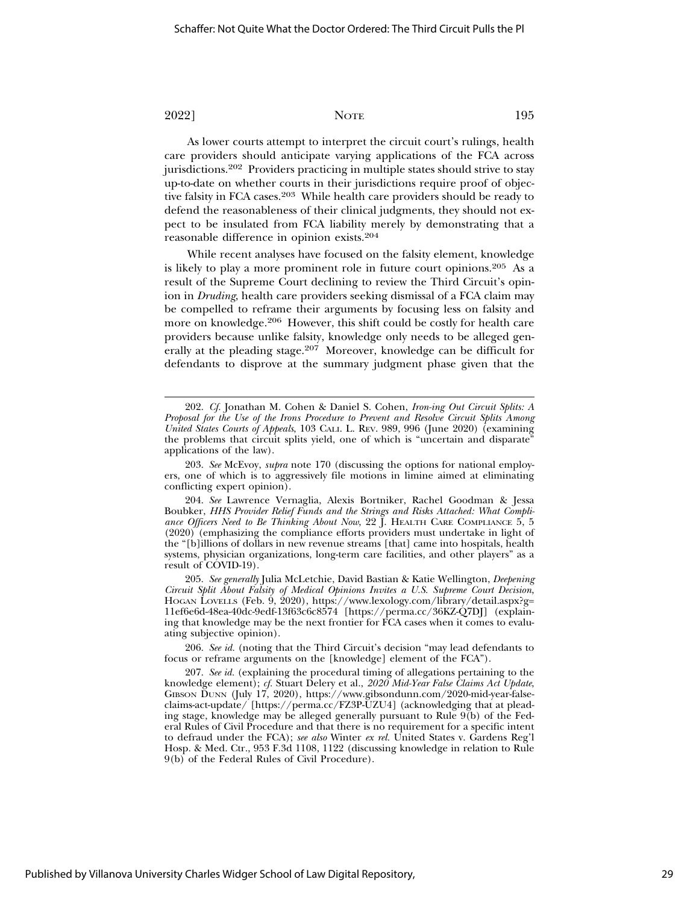As lower courts attempt to interpret the circuit court's rulings, health care providers should anticipate varying applications of the FCA across jurisdictions.202 Providers practicing in multiple states should strive to stay up-to-date on whether courts in their jurisdictions require proof of objective falsity in FCA cases.203 While health care providers should be ready to defend the reasonableness of their clinical judgments, they should not expect to be insulated from FCA liability merely by demonstrating that a reasonable difference in opinion exists.204

While recent analyses have focused on the falsity element, knowledge is likely to play a more prominent role in future court opinions.205 As a result of the Supreme Court declining to review the Third Circuit's opinion in *Druding*, health care providers seeking dismissal of a FCA claim may be compelled to reframe their arguments by focusing less on falsity and more on knowledge.206 However, this shift could be costly for health care providers because unlike falsity, knowledge only needs to be alleged generally at the pleading stage.207 Moreover, knowledge can be difficult for defendants to disprove at the summary judgment phase given that the

Published by Villanova University Charles Widger School of Law Digital Repository,

<sup>202.</sup> *Cf.* Jonathan M. Cohen & Daniel S. Cohen, *Iron-ing Out Circuit Splits: A Proposal for the Use of the Irons Procedure to Prevent and Resolve Circuit Splits Among United States Courts of Appeals*, 103 CALI. L. REV. 989, 996 (June 2020) (examining the problems that circuit splits yield, one of which is "uncertain and disparate" applications of the law).

<sup>203.</sup> *See* McEvoy, *supra* note 170 (discussing the options for national employers, one of which is to aggressively file motions in limine aimed at eliminating conflicting expert opinion).

<sup>204.</sup> *See* Lawrence Vernaglia, Alexis Bortniker, Rachel Goodman & Jessa Boubker, *HHS Provider Relief Funds and the Strings and Risks Attached: What Compliance Officers Need to Be Thinking About Now*, 22  $\tilde{I}$ . HEALTH CARE COMPLIANCE  $5, 5$ (2020) (emphasizing the compliance efforts providers must undertake in light of the "[b]illions of dollars in new revenue streams [that] came into hospitals, health systems, physician organizations, long-term care facilities, and other players" as a result of COVID-19).

<sup>205.</sup> *See generally* Julia McLetchie, David Bastian & Katie Wellington, *Deepening Circuit Split About Falsity of Medical Opinions Invites a U.S. Supreme Court Decision*, HOGAN LOVELLS (Feb. 9, 2020), https://www.lexology.com/library/detail.aspx?g= 11ef6e6d-48ea-40dc-9edf-13f63c6c8574 [https://perma.cc/36KZ-Q7DJ] (explaining that knowledge may be the next frontier for FCA cases when it comes to evaluating subjective opinion).

<sup>206.</sup> *See id.* (noting that the Third Circuit's decision "may lead defendants to focus or reframe arguments on the [knowledge] element of the FCA").

<sup>207.</sup> *See id.* (explaining the procedural timing of allegations pertaining to the knowledge element); *cf.* Stuart Delery et al., *2020 Mid-Year False Claims Act Update*, GIBSON DUNN (July 17, 2020), https://www.gibsondunn.com/2020-mid-year-falseclaims-act-update/ [https://perma.cc/FZ3P-UZU4] (acknowledging that at pleading stage, knowledge may be alleged generally pursuant to Rule 9(b) of the Federal Rules of Civil Procedure and that there is no requirement for a specific intent to defraud under the FCA); *see also* Winter *ex rel.* United States v. Gardens Reg'l Hosp. & Med. Ctr., 953 F.3d 1108, 1122 (discussing knowledge in relation to Rule 9(b) of the Federal Rules of Civil Procedure).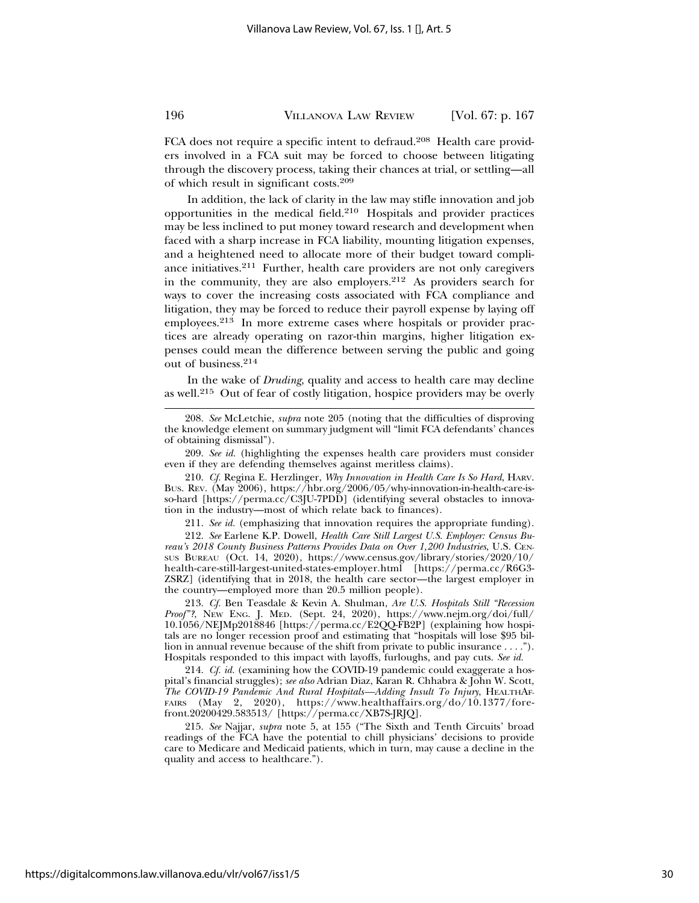FCA does not require a specific intent to defraud.<sup>208</sup> Health care providers involved in a FCA suit may be forced to choose between litigating through the discovery process, taking their chances at trial, or settling—all of which result in significant costs.209

In addition, the lack of clarity in the law may stifle innovation and job opportunities in the medical field.210 Hospitals and provider practices may be less inclined to put money toward research and development when faced with a sharp increase in FCA liability, mounting litigation expenses, and a heightened need to allocate more of their budget toward compliance initiatives.211 Further, health care providers are not only caregivers in the community, they are also employers.212 As providers search for ways to cover the increasing costs associated with FCA compliance and litigation, they may be forced to reduce their payroll expense by laying off employees.213 In more extreme cases where hospitals or provider practices are already operating on razor-thin margins, higher litigation expenses could mean the difference between serving the public and going out of business.214

In the wake of *Druding*, quality and access to health care may decline as well.215 Out of fear of costly litigation, hospice providers may be overly

208. *See* McLetchie, *supra* note 205 (noting that the difficulties of disproving the knowledge element on summary judgment will "limit FCA defendants' chances of obtaining dismissal").

209. *See id.* (highlighting the expenses health care providers must consider even if they are defending themselves against meritless claims).

210. *Cf.* Regina E. Herzlinger, *Why Innovation in Health Care Is So Hard*, HARV. BUS. REV. (May 2006), https://hbr.org/2006/05/why-innovation-in-health-care-isso-hard [https://perma.cc/C3JU-7PDD] (identifying several obstacles to innovation in the industry—most of which relate back to finances).

211. *See id.* (emphasizing that innovation requires the appropriate funding).

212. *See* Earlene K.P. Dowell, *Health Care Still Largest U.S. Employer: Census Bureau's 2018 County Business Patterns Provides Data on Over 1,200 Industries*, U.S. CEN-SUS BUREAU (Oct. 14, 2020), https://www.census.gov/library/stories/2020/10/ health-care-still-largest-united-states-employer.html [https://perma.cc/R6G3- ZSRZ] (identifying that in 2018, the health care sector—the largest employer in the country—employed more than 20.5 million people).

213. *Cf.* Ben Teasdale & Kevin A. Shulman, *Are U.S. Hospitals Still "Recession Proof"?*, NEW ENG. J. MED. (Sept. 24, 2020), https://www.nejm.org/doi/full/ 10.1056/NEJMp2018846 [https://perma.cc/E2QQ-FB2P] (explaining how hospitals are no longer recession proof and estimating that "hospitals will lose \$95 billion in annual revenue because of the shift from private to public insurance . . . ."). Hospitals responded to this impact with layoffs, furloughs, and pay cuts. *See id.*

214. *Cf. id.* (examining how the COVID-19 pandemic could exaggerate a hospital's financial struggles); *see also* Adrian Diaz, Karan R. Chhabra & John W. Scott, *The COVID-19 Pandemic And Rural Hospitals—Adding Insult To Injury*, HEALTHAF-FAIRS (May 2, 2020), https://www.healthaffairs.org/do/10.1377/forefront.20200429.583513/ [https://perma.cc/XB7S-JRJQ].

215. *See* Najjar, *supra* note 5, at 155 ("The Sixth and Tenth Circuits' broad readings of the FCA have the potential to chill physicians' decisions to provide care to Medicare and Medicaid patients, which in turn, may cause a decline in the quality and access to healthcare.").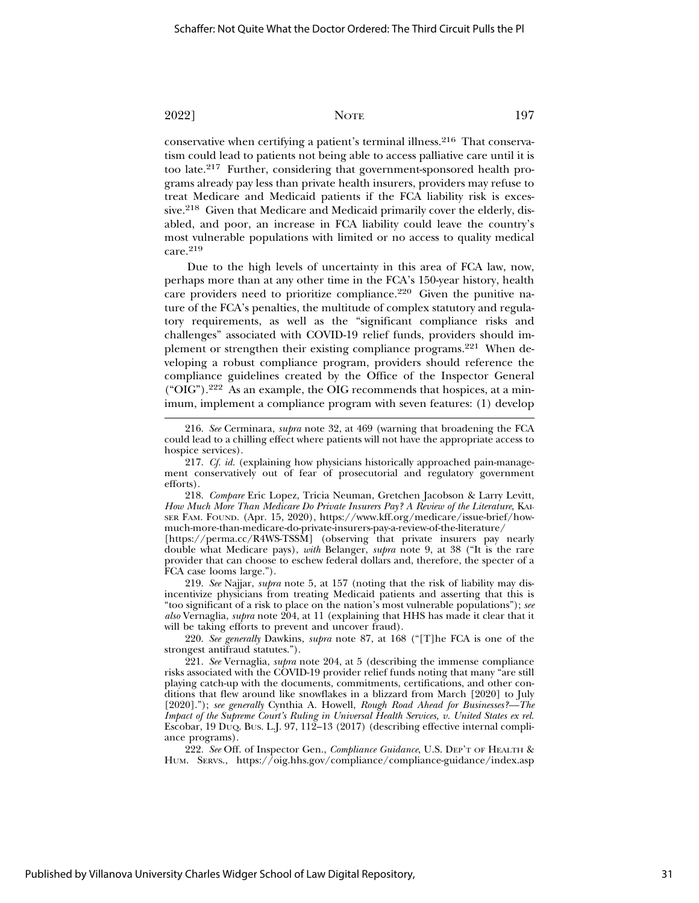conservative when certifying a patient's terminal illness.216 That conservatism could lead to patients not being able to access palliative care until it is too late.217 Further, considering that government-sponsored health programs already pay less than private health insurers, providers may refuse to treat Medicare and Medicaid patients if the FCA liability risk is excessive.218 Given that Medicare and Medicaid primarily cover the elderly, disabled, and poor, an increase in FCA liability could leave the country's most vulnerable populations with limited or no access to quality medical care.<sup>219</sup>

Due to the high levels of uncertainty in this area of FCA law, now, perhaps more than at any other time in the FCA's 150-year history, health care providers need to prioritize compliance.220 Given the punitive nature of the FCA's penalties, the multitude of complex statutory and regulatory requirements, as well as the "significant compliance risks and challenges" associated with COVID-19 relief funds, providers should implement or strengthen their existing compliance programs.<sup>221</sup> When developing a robust compliance program, providers should reference the compliance guidelines created by the Office of the Inspector General ("OIG").222 As an example, the OIG recommends that hospices, at a minimum, implement a compliance program with seven features: (1) develop

218. *Compare* Eric Lopez, Tricia Neuman, Gretchen Jacobson & Larry Levitt, *How Much More Than Medicare Do Private Insurers Pay? A Review of the Literature*, KAI-SER FAM. FOUND. (Apr. 15, 2020), https://www.kff.org/medicare/issue-brief/howmuch-more-than-medicare-do-private-insurers-pay-a-review-of-the-literature/

[https://perma.cc/R4WS-TSSM] (observing that private insurers pay nearly double what Medicare pays), *with* Belanger, *supra* note 9, at 38 ("It is the rare provider that can choose to eschew federal dollars and, therefore, the specter of a FCA case looms large.").

219. *See* Najjar, *supra* note 5, at 157 (noting that the risk of liability may disincentivize physicians from treating Medicaid patients and asserting that this is "too significant of a risk to place on the nation's most vulnerable populations"); *see also* Vernaglia, *supra* note 204, at 11 (explaining that HHS has made it clear that it will be taking efforts to prevent and uncover fraud).

220. *See generally* Dawkins, *supra* note 87, at 168 ("[T]he FCA is one of the strongest antifraud statutes.").

221. *See* Vernaglia, *supra* note 204, at 5 (describing the immense compliance risks associated with the COVID-19 provider relief funds noting that many "are still playing catch-up with the documents, commitments, certifications, and other conditions that flew around like snowflakes in a blizzard from March [2020] to July [2020]."); *see generally* Cynthia A. Howell, *Rough Road Ahead for Businesses?—The Impact of the Supreme Court's Ruling in Universal Health Services, v. United States ex rel.* Escobar, 19 DUQ. BUS. L.J. 97, 112–13 (2017) (describing effective internal compliance programs).

222. *See* Off. of Inspector Gen., *Compliance Guidance*, U.S. DEP'T OF HEALTH & HUM. SERVS., https://oig.hhs.gov/compliance/compliance-guidance/index.asp

<sup>216.</sup> *See* Cerminara, *supra* note 32, at 469 (warning that broadening the FCA could lead to a chilling effect where patients will not have the appropriate access to hospice services).

<sup>217.</sup> *Cf. id.* (explaining how physicians historically approached pain-management conservatively out of fear of prosecutorial and regulatory government efforts).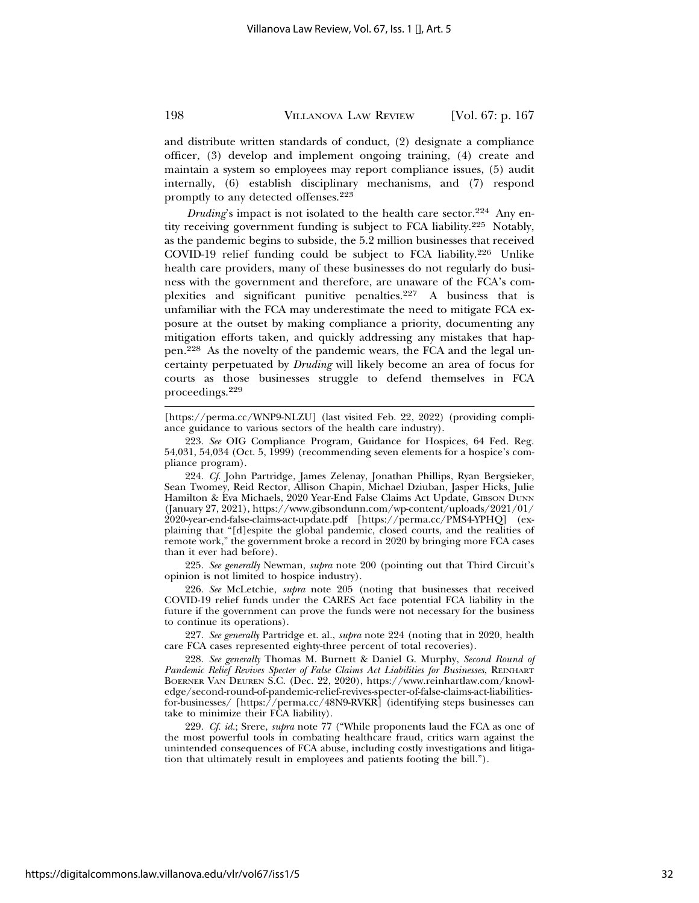and distribute written standards of conduct, (2) designate a compliance officer, (3) develop and implement ongoing training, (4) create and maintain a system so employees may report compliance issues, (5) audit internally, (6) establish disciplinary mechanisms, and (7) respond promptly to any detected offenses.223

*Druding*'s impact is not isolated to the health care sector.<sup>224</sup> Any entity receiving government funding is subject to FCA liability.225 Notably, as the pandemic begins to subside, the 5.2 million businesses that received COVID-19 relief funding could be subject to FCA liability.226 Unlike health care providers, many of these businesses do not regularly do business with the government and therefore, are unaware of the FCA's complexities and significant punitive penalties.227 A business that is unfamiliar with the FCA may underestimate the need to mitigate FCA exposure at the outset by making compliance a priority, documenting any mitigation efforts taken, and quickly addressing any mistakes that happen.228 As the novelty of the pandemic wears, the FCA and the legal uncertainty perpetuated by *Druding* will likely become an area of focus for courts as those businesses struggle to defend themselves in FCA proceedings.<sup>229</sup>

[https://perma.cc/WNP9-NLZU] (last visited Feb. 22, 2022) (providing compliance guidance to various sectors of the health care industry).

223. *See* OIG Compliance Program, Guidance for Hospices, 64 Fed. Reg. 54,031, 54,034 (Oct. 5, 1999) (recommending seven elements for a hospice's compliance program).

224. *Cf.* John Partridge, James Zelenay, Jonathan Phillips, Ryan Bergsieker, Sean Twomey, Reid Rector, Allison Chapin, Michael Dziuban, Jasper Hicks, Julie Hamilton & Eva Michaels, 2020 Year-End False Claims Act Update, GIBSON DUNN (January 27, 2021), https://www.gibsondunn.com/wp-content/uploads/2021/01/ 2020-year-end-false-claims-act-update.pdf [https://perma.cc/PMS4-YPHQ] (explaining that "[d]espite the global pandemic, closed courts, and the realities of remote work," the government broke a record in 2020 by bringing more FCA cases than it ever had before).

225. *See generally* Newman, *supra* note 200 (pointing out that Third Circuit's opinion is not limited to hospice industry).

226. *See* McLetchie, *supra* note 205 (noting that businesses that received COVID-19 relief funds under the CARES Act face potential FCA liability in the future if the government can prove the funds were not necessary for the business to continue its operations).

227. *See generally* Partridge et. al., *supra* note 224 (noting that in 2020, health care FCA cases represented eighty-three percent of total recoveries).

228. *See generally* Thomas M. Burnett & Daniel G. Murphy, *Second Round of Pandemic Relief Revives Specter of False Claims Act Liabilities for Businesses*, REINHART BOERNER VAN DEUREN S.C. (Dec. 22, 2020), https://www.reinhartlaw.com/knowledge/second-round-of-pandemic-relief-revives-specter-of-false-claims-act-liabilitiesfor-businesses/ [https://perma.cc/48N9-RVKR] (identifying steps businesses can take to minimize their FCA liability).

229. *Cf. id.*; Srere, *supra* note 77 ("While proponents laud the FCA as one of the most powerful tools in combating healthcare fraud, critics warn against the unintended consequences of FCA abuse, including costly investigations and litigation that ultimately result in employees and patients footing the bill.").